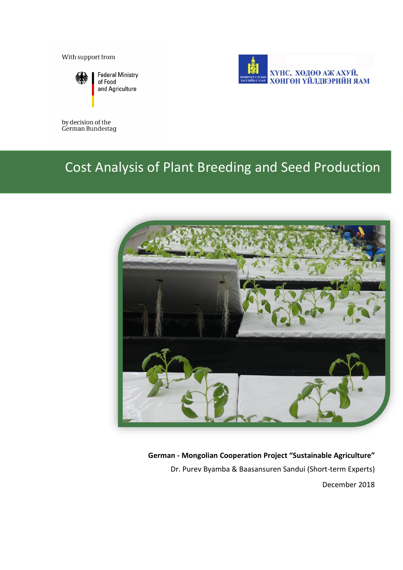With support from



**Federal Ministry** of Food and Agriculture



## by decision of the<br>German Bundestag

## Cost Analysis of Plant Breeding and Seed Production



#### **German - Mongolian Cooperation Project "Sustainable Agriculture"**

Dr. Purev Byamba & Baasansuren Sandui (Short-term Experts)

December 2018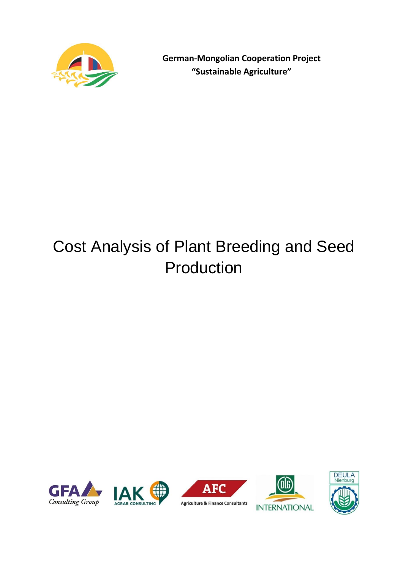

**German-Mongolian Cooperation Project "Sustainable Agriculture"**

# Cost Analysis of Plant Breeding and Seed Production







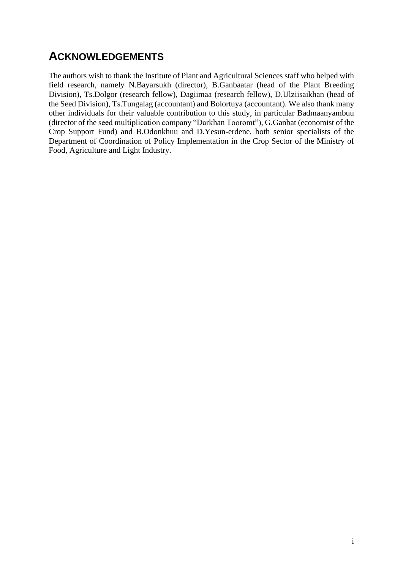## <span id="page-2-0"></span>**ACKNOWLEDGEMENTS**

The authors wish to thank the Institute of Plant and Agricultural Sciences staff who helped with field research, namely N.Bayarsukh (director), B.Ganbaatar (head of the Plant Breeding Division), Ts.Dolgor (research fellow), Dagiimaa (research fellow), D.Ulziisaikhan (head of the Seed Division), Ts.Tungalag (accountant) and Bolortuya (accountant). We also thank many other individuals for their valuable contribution to this study, in particular Badmaanyambuu (director of the seed multiplication company "Darkhan Tooromt"), G.Ganbat (economist of the Crop Support Fund) and B.Odonkhuu and D.Yesun-erdene, both senior specialists of the Department of Coordination of Policy Implementation in the Crop Sector of the Ministry of Food, Agriculture and Light Industry.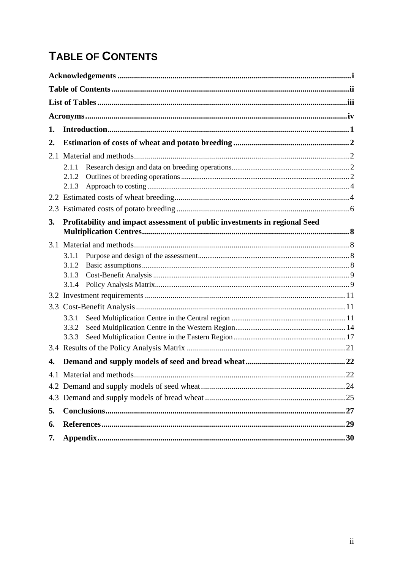## <span id="page-3-0"></span>**TABLE OF CONTENTS**

| 1.  |                                                                            |  |
|-----|----------------------------------------------------------------------------|--|
| 2.  |                                                                            |  |
| 2.1 |                                                                            |  |
|     | 2.1.1                                                                      |  |
|     | 2.1.2                                                                      |  |
|     | 2.1.3                                                                      |  |
|     |                                                                            |  |
|     |                                                                            |  |
| 3.  | Profitability and impact assessment of public investments in regional Seed |  |
|     |                                                                            |  |
|     |                                                                            |  |
|     | 3.1.1                                                                      |  |
|     | 3.1.2                                                                      |  |
|     | 3.1.3                                                                      |  |
|     | 3.1.4                                                                      |  |
|     |                                                                            |  |
|     |                                                                            |  |
|     | 3.3.1                                                                      |  |
|     | 3.3.2                                                                      |  |
|     | 3.3.3                                                                      |  |
|     |                                                                            |  |
| 4.  |                                                                            |  |
|     |                                                                            |  |
|     |                                                                            |  |
|     |                                                                            |  |
| 5.  |                                                                            |  |
| 6.  |                                                                            |  |
| 7.  |                                                                            |  |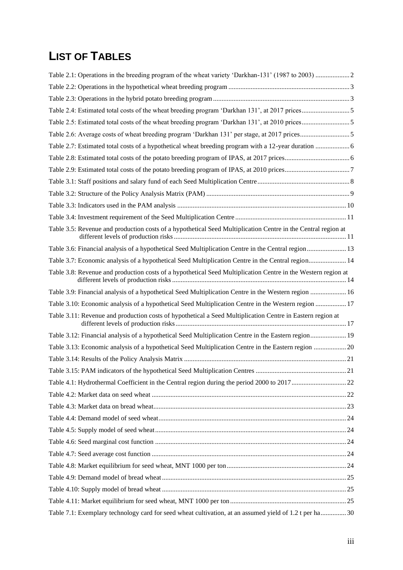## <span id="page-4-0"></span>**LIST OF TABLES**

| Table 2.4: Estimated total costs of the wheat breeding program 'Darkhan 131', at 2017 prices5                 |  |
|---------------------------------------------------------------------------------------------------------------|--|
|                                                                                                               |  |
|                                                                                                               |  |
| Table 2.7: Estimated total costs of a hypothetical wheat breeding program with a 12-year duration  6          |  |
|                                                                                                               |  |
|                                                                                                               |  |
|                                                                                                               |  |
|                                                                                                               |  |
|                                                                                                               |  |
|                                                                                                               |  |
| Table 3.5: Revenue and production costs of a hypothetical Seed Multiplication Centre in the Central region at |  |
| Table 3.6: Financial analysis of a hypothetical Seed Multiplication Centre in the Central region  13          |  |
| Table 3.7: Economic analysis of a hypothetical Seed Multiplication Centre in the Central region 14            |  |
| Table 3.8: Revenue and production costs of a hypothetical Seed Multiplication Centre in the Western region at |  |
| Table 3.9: Financial analysis of a hypothetical Seed Multiplication Centre in the Western region  16          |  |
| Table 3.10: Economic analysis of a hypothetical Seed Multiplication Centre in the Western region  17          |  |
| Table 3.11: Revenue and production costs of hypothetical a Seed Multiplication Centre in Eastern region at    |  |
| Table 3.12: Financial analysis of a hypothetical Seed Multiplication Centre in the Eastern region 19          |  |
| Table 3.13: Economic analysis of a hypothetical Seed Multiplication Centre in the Eastern region  20          |  |
|                                                                                                               |  |
|                                                                                                               |  |
|                                                                                                               |  |
|                                                                                                               |  |
|                                                                                                               |  |
|                                                                                                               |  |
|                                                                                                               |  |
|                                                                                                               |  |
|                                                                                                               |  |
|                                                                                                               |  |
|                                                                                                               |  |
|                                                                                                               |  |
|                                                                                                               |  |
| Table 7.1: Exemplary technology card for seed wheat cultivation, at an assumed yield of 1.2 t per ha 30       |  |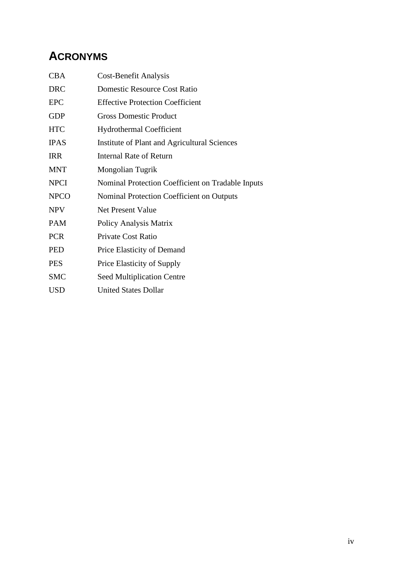## <span id="page-5-0"></span>**ACRONYMS**

| <b>CBA</b>  | Cost-Benefit Analysis                             |
|-------------|---------------------------------------------------|
| <b>DRC</b>  | Domestic Resource Cost Ratio                      |
| <b>EPC</b>  | <b>Effective Protection Coefficient</b>           |
| <b>GDP</b>  | <b>Gross Domestic Product</b>                     |
| <b>HTC</b>  | <b>Hydrothermal Coefficient</b>                   |
| <b>IPAS</b> | Institute of Plant and Agricultural Sciences      |
| <b>IRR</b>  | <b>Internal Rate of Return</b>                    |
| <b>MNT</b>  | Mongolian Tugrik                                  |
| <b>NPCI</b> | Nominal Protection Coefficient on Tradable Inputs |
| <b>NPCO</b> | Nominal Protection Coefficient on Outputs         |
| <b>NPV</b>  | <b>Net Present Value</b>                          |
| <b>PAM</b>  | Policy Analysis Matrix                            |
| <b>PCR</b>  | Private Cost Ratio                                |
| <b>PED</b>  | Price Elasticity of Demand                        |
| <b>PES</b>  | Price Elasticity of Supply                        |
| <b>SMC</b>  | <b>Seed Multiplication Centre</b>                 |
| USD         | <b>United States Dollar</b>                       |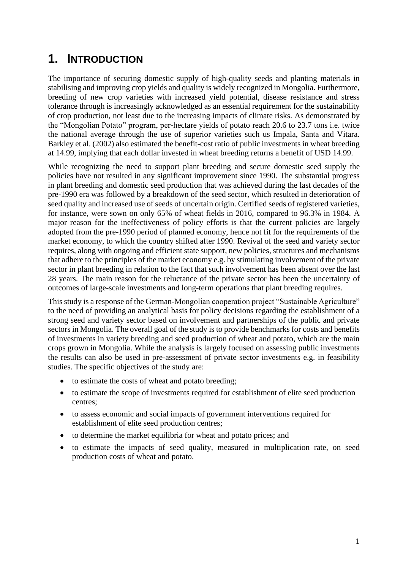## <span id="page-6-0"></span>**1. INTRODUCTION**

The importance of securing domestic supply of high-quality seeds and planting materials in stabilising and improving crop yields and quality is widely recognized in Mongolia. Furthermore, breeding of new crop varieties with increased yield potential, disease resistance and stress tolerance through is increasingly acknowledged as an essential requirement for the sustainability of crop production, not least due to the increasing impacts of climate risks. As demonstrated by the "Mongolian Potato" program, per-hectare yields of potato reach 20.6 to 23.7 tons i.e. twice the national average through the use of superior varieties such us Impala, Santa and Vitara. Barkley et al. (2002) also estimated the benefit-cost ratio of public investments in wheat breeding at 14.99, implying that each dollar invested in wheat breeding returns a benefit of USD 14.99.

While recognizing the need to support plant breeding and secure domestic seed supply the policies have not resulted in any significant improvement since 1990. The substantial progress in plant breeding and domestic seed production that was achieved during the last decades of the pre-1990 era was followed by a breakdown of the seed sector, which resulted in deterioration of seed quality and increased use of seeds of uncertain origin. Certified seeds of registered varieties, for instance, were sown on only 65% of wheat fields in 2016, compared to 96.3% in 1984. A major reason for the ineffectiveness of policy efforts is that the current policies are largely adopted from the pre-1990 period of planned economy, hence not fit for the requirements of the market economy, to which the country shifted after 1990. Revival of the seed and variety sector requires, along with ongoing and efficient state support, new policies, structures and mechanisms that adhere to the principles of the market economy e.g. by stimulating involvement of the private sector in plant breeding in relation to the fact that such involvement has been absent over the last 28 years. The main reason for the reluctance of the private sector has been the uncertainty of outcomes of large-scale investments and long-term operations that plant breeding requires.

This study is a response of the German-Mongolian cooperation project "Sustainable Agriculture" to the need of providing an analytical basis for policy decisions regarding the establishment of a strong seed and variety sector based on involvement and partnerships of the public and private sectors in Mongolia. The overall goal of the study is to provide benchmarks for costs and benefits of investments in variety breeding and seed production of wheat and potato, which are the main crops grown in Mongolia. While the analysis is largely focused on assessing public investments the results can also be used in pre-assessment of private sector investments e.g. in feasibility studies. The specific objectives of the study are:

- to estimate the costs of wheat and potato breeding;
- to estimate the scope of investments required for establishment of elite seed production centres;
- to assess economic and social impacts of government interventions required for establishment of elite seed production centres;
- to determine the market equilibria for wheat and potato prices; and
- to estimate the impacts of seed quality, measured in multiplication rate, on seed production costs of wheat and potato.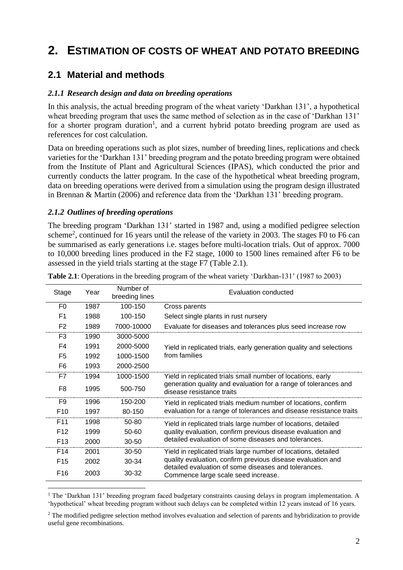## <span id="page-7-0"></span>**2. ESTIMATION OF COSTS OF WHEAT AND POTATO BREEDING**

### <span id="page-7-1"></span>**2.1 Material and methods**

#### <span id="page-7-2"></span>*2.1.1 Research design and data on breeding operations*

In this analysis, the actual breeding program of the wheat variety 'Darkhan 131', a hypothetical wheat breeding program that uses the same method of selection as in the case of 'Darkhan 131' for a shorter program duration<sup>1</sup>, and a current hybrid potato breeding program are used as references for cost calculation.

Data on breeding operations such as plot sizes, number of breeding lines, replications and check varieties for the 'Darkhan 131' breeding program and the potato breeding program were obtained from the Institute of Plant and Agricultural Sciences (IPAS), which conducted the prior and currently conducts the latter program. In the case of the hypothetical wheat breeding program, data on breeding operations were derived from a simulation using the program design illustrated in Brennan & Martin (2006) and reference data from the 'Darkhan 131' breeding program.

#### <span id="page-7-3"></span>*2.1.2 Outlines of breeding operations*

The breeding program 'Darkhan 131' started in 1987 and, using a modified pedigree selection scheme<sup>2</sup>, continued for 16 years until the release of the variety in 2003. The stages F0 to F6 can be summarised as early generations i.e. stages before multi-location trials. Out of approx. 7000 to 10,000 breeding lines produced in the F2 stage, 1000 to 1500 lines remained after F6 to be assessed in the yield trials starting at the stage F7 (Table 2.1).

| Stage           | Year | Number of<br>breeding lines | Evaluation conducted                                                                         |  |
|-----------------|------|-----------------------------|----------------------------------------------------------------------------------------------|--|
| F0              | 1987 | 100-150                     | Cross parents                                                                                |  |
| F1              | 1988 | 100-150                     | Select single plants in rust nursery                                                         |  |
| F <sub>2</sub>  | 1989 | 7000-10000                  | Evaluate for diseases and tolerances plus seed increase row                                  |  |
| F3              | 1990 | 3000-5000                   |                                                                                              |  |
| F4              | 1991 | 2000-5000                   | Yield in replicated trials, early generation quality and selections                          |  |
| F <sub>5</sub>  | 1992 | 1000-1500                   | from families                                                                                |  |
| F <sub>6</sub>  | 1993 | 2000-2500                   |                                                                                              |  |
| F7              | 1994 | 1000-1500                   | Yield in replicated trials small number of locations, early                                  |  |
| F8              | 1995 | 500-750                     | generation quality and evaluation for a range of tolerances and<br>disease resistance traits |  |
| F9              | 1996 | 150-200                     | Yield in replicated trials medium number of locations, confirm                               |  |
| F <sub>10</sub> | 1997 | 80-150                      | evaluation for a range of tolerances and disease resistance traits                           |  |
| F <sub>11</sub> | 1998 | 50-80                       | Yield in replicated trials large number of locations, detailed                               |  |
| F <sub>12</sub> | 1999 | $50 - 60$                   | quality evaluation, confirm previous disease evaluation and                                  |  |
| F <sub>13</sub> | 2000 | 30-50                       | detailed evaluation of some diseases and tolerances.                                         |  |
| F <sub>14</sub> | 2001 | 30-50                       | Yield in replicated trials large number of locations, detailed                               |  |
| F <sub>15</sub> | 2002 | 30-34                       | quality evaluation, confirm previous disease evaluation and                                  |  |
| F <sub>16</sub> | 2003 | 30-32                       | detailed evaluation of some diseases and tolerances.<br>Commence large scale seed increase.  |  |

<span id="page-7-4"></span>**Table 2.1**: Operations in the breeding program of the wheat variety 'Darkhan-131' (1987 to 2003)

<sup>1</sup> The 'Darkhan 131' breeding program faced budgetary constraints causing delays in program implementation. A 'hypothetical' wheat breeding program without such delays can be completed within 12 years instead of 16 years.

<sup>&</sup>lt;sup>2</sup> The modified pedigree selection method involves evaluation and selection of parents and hybridization to provide useful gene recombinations.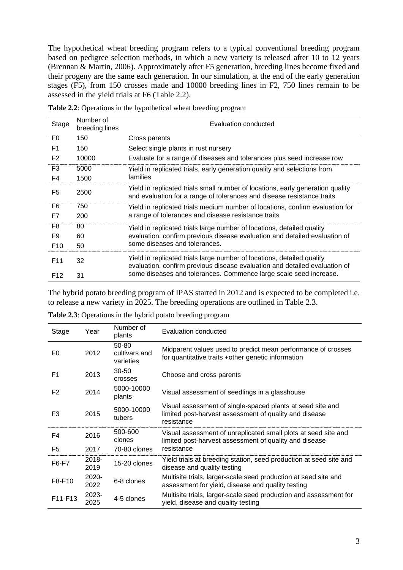The hypothetical wheat breeding program refers to a typical conventional breeding program based on pedigree selection methods, in which a new variety is released after 10 to 12 years (Brennan & Martin, 2006). Approximately after F5 generation, breeding lines become fixed and their progeny are the same each generation. In our simulation, at the end of the early generation stages (F5), from 150 crosses made and 10000 breeding lines in F2, 750 lines remain to be assessed in the yield trials at F6 (Table 2.2).

| Stage           | Number of<br>breeding lines | Evaluation conducted                                                                                                                                     |  |  |  |
|-----------------|-----------------------------|----------------------------------------------------------------------------------------------------------------------------------------------------------|--|--|--|
| F <sub>0</sub>  | 150                         | Cross parents                                                                                                                                            |  |  |  |
| F <sub>1</sub>  | 150                         | Select single plants in rust nursery                                                                                                                     |  |  |  |
| F <sub>2</sub>  | 10000                       | Evaluate for a range of diseases and tolerances plus seed increase row                                                                                   |  |  |  |
| F <sub>3</sub>  | 5000                        | Yield in replicated trials, early generation quality and selections from                                                                                 |  |  |  |
| F4              | 1500                        | families                                                                                                                                                 |  |  |  |
| F <sub>5</sub>  | 2500                        | Yield in replicated trials small number of locations, early generation quality<br>and evaluation for a range of tolerances and disease resistance traits |  |  |  |
| F6              | 750                         | Yield in replicated trials medium number of locations, confirm evaluation for                                                                            |  |  |  |
| F7              | 200                         | a range of tolerances and disease resistance traits                                                                                                      |  |  |  |
| F8              | 80                          | Yield in replicated trials large number of locations, detailed quality                                                                                   |  |  |  |
| F9              | 60                          | evaluation, confirm previous disease evaluation and detailed evaluation of                                                                               |  |  |  |
| F <sub>10</sub> | 50                          | some diseases and tolerances.                                                                                                                            |  |  |  |
| F <sub>11</sub> | 32                          | Yield in replicated trials large number of locations, detailed quality<br>evaluation, confirm previous disease evaluation and detailed evaluation of     |  |  |  |
| F <sub>12</sub> | 31                          | some diseases and tolerances. Commence large scale seed increase.                                                                                        |  |  |  |

<span id="page-8-0"></span>**Table 2.2**: Operations in the hypothetical wheat breeding program

The hybrid potato breeding program of IPAS started in 2012 and is expected to be completed i.e. to release a new variety in 2025. The breeding operations are outlined in Table 2.3.

| Stage                            | Year          | Number of<br>plants                 | Evaluation conducted                                                                                                               |  |
|----------------------------------|---------------|-------------------------------------|------------------------------------------------------------------------------------------------------------------------------------|--|
| F0                               | 2012          | 50-80<br>cultivars and<br>varieties | Midparent values used to predict mean performance of crosses<br>for quantitative traits +other genetic information                 |  |
| F <sub>1</sub>                   | 2013          | $30 - 50$<br>crosses                | Choose and cross parents                                                                                                           |  |
| F <sub>2</sub>                   | 2014          | 5000-10000<br>plants                | Visual assessment of seedlings in a glasshouse                                                                                     |  |
| F <sub>3</sub>                   | 2015          | 5000-10000<br>tubers                | Visual assessment of single-spaced plants at seed site and<br>limited post-harvest assessment of quality and disease<br>resistance |  |
| F4                               | 2016          | 500-600<br>clones                   | Visual assessment of unreplicated small plots at seed site and<br>limited post-harvest assessment of quality and disease           |  |
| F5                               | 2017          | 70-80 clones                        | resistance                                                                                                                         |  |
| F6-F7                            | 2018-<br>2019 | 15-20 clones                        | Yield trials at breeding station, seed production at seed site and<br>disease and quality testing                                  |  |
| F8-F10                           | 2020-<br>2022 | 6-8 clones                          | Multisite trials, larger-scale seed production at seed site and<br>assessment for yield, disease and quality testing               |  |
| F <sub>11</sub> -F <sub>13</sub> | 2023-<br>2025 | 4-5 clones                          | Multisite trials, larger-scale seed production and assessment for<br>yield, disease and quality testing                            |  |

<span id="page-8-1"></span>**Table 2.3**: Operations in the hybrid potato breeding program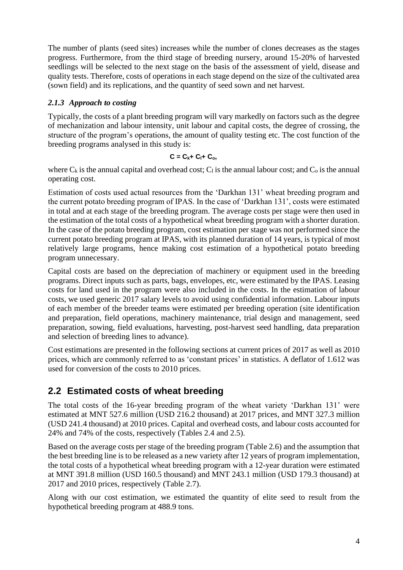The number of plants (seed sites) increases while the number of clones decreases as the stages progress. Furthermore, from the third stage of breeding nursery, around 15-20% of harvested seedlings will be selected to the next stage on the basis of the assessment of yield, disease and quality tests. Therefore, costs of operations in each stage depend on the size of the cultivated area (sown field) and its replications, and the quantity of seed sown and net harvest.

#### <span id="page-9-0"></span>*2.1.3 Approach to costing*

Typically, the costs of a plant breeding program will vary markedly on factors such as the degree of mechanization and labour intensity, unit labour and capital costs, the degree of crossing, the structure of the program's operations, the amount of quality testing etc. The cost function of the breeding programs analysed in this study is:

$$
C=C_{k}+C_{l}+C_{o},
$$

where  $C_k$  is the annual capital and overhead cost;  $C_l$  is the annual labour cost; and  $C_o$  is the annual operating cost.

Estimation of costs used actual resources from the 'Darkhan 131' wheat breeding program and the current potato breeding program of IPAS. In the case of 'Darkhan 131', costs were estimated in total and at each stage of the breeding program. The average costs per stage were then used in the estimation of the total costs of a hypothetical wheat breeding program with a shorter duration. In the case of the potato breeding program, cost estimation per stage was not performed since the current potato breeding program at IPAS, with its planned duration of 14 years, is typical of most relatively large programs, hence making cost estimation of a hypothetical potato breeding program unnecessary.

Capital costs are based on the depreciation of machinery or equipment used in the breeding programs. Direct inputs such as parts, bags, envelopes, etc, were estimated by the IPAS. Leasing costs for land used in the program were also included in the costs. In the estimation of labour costs, we used generic 2017 salary levels to avoid using confidential information. Labour inputs of each member of the breeder teams were estimated per breeding operation (site identification and preparation, field operations, machinery maintenance, trial design and management, seed preparation, sowing, field evaluations, harvesting, post-harvest seed handling, data preparation and selection of breeding lines to advance).

Cost estimations are presented in the following sections at current prices of 2017 as well as 2010 prices, which are commonly referred to as 'constant prices' in statistics. A deflator of 1.612 was used for conversion of the costs to 2010 prices.

### <span id="page-9-1"></span>**2.2 Estimated costs of wheat breeding**

The total costs of the 16-year breeding program of the wheat variety 'Darkhan 131' were estimated at MNT 527.6 million (USD 216.2 thousand) at 2017 prices, and MNT 327.3 million (USD 241.4 thousand) at 2010 prices. Capital and overhead costs, and labour costs accounted for 24% and 74% of the costs, respectively (Tables 2.4 and 2.5).

Based on the average costs per stage of the breeding program (Table 2.6) and the assumption that the best breeding line is to be released as a new variety after 12 years of program implementation, the total costs of a hypothetical wheat breeding program with a 12-year duration were estimated at MNT 391.8 million (USD 160.5 thousand) and MNT 243.1 million (USD 179.3 thousand) at 2017 and 2010 prices, respectively (Table 2.7).

Along with our cost estimation, we estimated the quantity of elite seed to result from the hypothetical breeding program at 488.9 tons.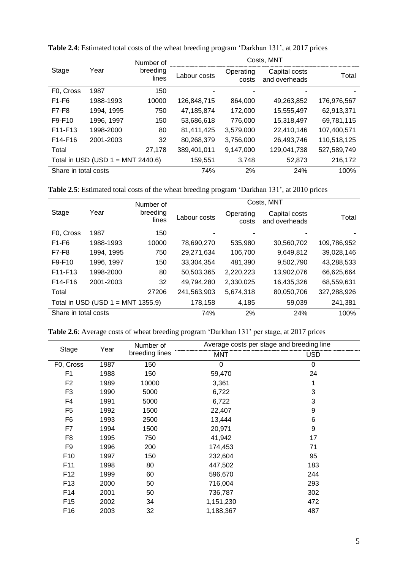|                                      | Year       | Number of         | Costs, MNT   |                    |                                |             |
|--------------------------------------|------------|-------------------|--------------|--------------------|--------------------------------|-------------|
| Stage                                |            | breeding<br>lines | Labour costs | Operating<br>costs | Capital costs<br>and overheads | Total       |
| F0, Cross                            | 1987       | 150               |              |                    |                                |             |
| F1-F6                                | 1988-1993  | 10000             | 126,848,715  | 864,000            | 49,263,852                     | 176,976,567 |
| F7-F8                                | 1994, 1995 | 750               | 47,185,874   | 172,000            | 15,555,497                     | 62,913,371  |
| F9-F10                               | 1996, 1997 | 150               | 53,686,618   | 776,000            | 15,318,497                     | 69,781,115  |
| F11-F13                              | 1998-2000  | 80                | 81,411,425   | 3,579,000          | 22,410,146                     | 107,400,571 |
| F14-F16                              | 2001-2003  | 32                | 80,268,379   | 3,756,000          | 26,493,746                     | 110,518,125 |
| Total                                |            | 27,178            | 389,401,011  | 9,147,000          | 129,041,738                    | 527,589,749 |
| Total in USD (USD $1 = MNT 2440.6$ ) |            |                   | 159,551      | 3,748              | 52,873                         | 216,172     |
| Share in total costs                 |            |                   | 74%          | 2%                 | 24%                            | 100%        |

<span id="page-10-0"></span>**Table 2.4**: Estimated total costs of the wheat breeding program 'Darkhan 131', at 2017 prices

<span id="page-10-1"></span>**Table 2.5**: Estimated total costs of the wheat breeding program 'Darkhan 131', at 2010 prices

|                                      |            | Number of         | Costs, MNT   |                    |                                |             |
|--------------------------------------|------------|-------------------|--------------|--------------------|--------------------------------|-------------|
| Stage                                | Year       | breeding<br>lines | Labour costs | Operating<br>costs | Capital costs<br>and overheads | Total       |
| F0, Cross                            | 1987       | 150               |              |                    |                                |             |
| $F1-F6$                              | 1988-1993  | 10000             | 78,690,270   | 535,980            | 30,560,702                     | 109,786,952 |
| <b>F7-F8</b>                         | 1994, 1995 | 750               | 29,271,634   | 106,700            | 9,649,812                      | 39,028,146  |
| F9-F10                               | 1996, 1997 | 150               | 33.304.354   | 481,390            | 9.502.790                      | 43,288,533  |
| F <sub>11</sub> -F <sub>13</sub>     | 1998-2000  | 80                | 50,503,365   | 2,220,223          | 13,902,076                     | 66.625.664  |
| F14-F16                              | 2001-2003  | 32                | 49,794,280   | 2,330,025          | 16,435,326                     | 68,559,631  |
| Total                                |            | 27206             | 241,563,903  | 5,674,318          | 80,050,706                     | 327,288,926 |
| Total in USD (USD $1 = MNT 1355.9$ ) |            |                   | 178,158      | 4,185              | 59,039                         | 241,381     |
| Share in total costs                 |            |                   | 74%          | 2%                 | 24%                            | 100%        |

<span id="page-10-2"></span>**Table 2.6**: Average costs of wheat breeding program 'Darkhan 131' per stage, at 2017 prices

| Stage           | Year | Number of      | Average costs per stage and breeding line |            |  |
|-----------------|------|----------------|-------------------------------------------|------------|--|
|                 |      | breeding lines | <b>MNT</b>                                | <b>USD</b> |  |
| F0, Cross       | 1987 | 150            | 0                                         | $\Omega$   |  |
| F <sub>1</sub>  | 1988 | 150            | 59,470                                    | 24         |  |
| F <sub>2</sub>  | 1989 | 10000          | 3,361                                     | 1          |  |
| F <sub>3</sub>  | 1990 | 5000           | 6,722                                     | 3          |  |
| F4              | 1991 | 5000           | 6,722                                     | 3          |  |
| F <sub>5</sub>  | 1992 | 1500           | 22,407                                    | 9          |  |
| F <sub>6</sub>  | 1993 | 2500           | 13,444                                    | 6          |  |
| F7              | 1994 | 1500           | 20,971                                    | 9          |  |
| F <sub>8</sub>  | 1995 | 750            | 41,942                                    | 17         |  |
| F <sub>9</sub>  | 1996 | 200            | 174,453                                   | 71         |  |
| F <sub>10</sub> | 1997 | 150            | 232,604                                   | 95         |  |
| F <sub>11</sub> | 1998 | 80             | 447,502                                   | 183        |  |
| F <sub>12</sub> | 1999 | 60             | 596,670                                   | 244        |  |
| F <sub>13</sub> | 2000 | 50             | 716,004                                   | 293        |  |
| F14             | 2001 | 50             | 736,787                                   | 302        |  |
| F <sub>15</sub> | 2002 | 34             | 1,151,230                                 | 472        |  |
| F <sub>16</sub> | 2003 | 32             | 1,188,367                                 | 487        |  |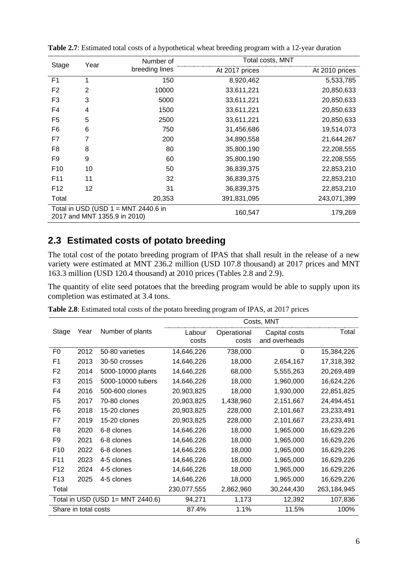| Stage           | Year           | Number of                                                             | Total costs, MNT |                |
|-----------------|----------------|-----------------------------------------------------------------------|------------------|----------------|
|                 |                | breeding lines                                                        | At 2017 prices   | At 2010 prices |
| F <sub>1</sub>  | 1              | 150                                                                   | 8,920,462        | 5,533,785      |
| F <sub>2</sub>  | $\overline{2}$ | 10000                                                                 | 33,611,221       | 20,850,633     |
| F <sub>3</sub>  | 3              | 5000                                                                  | 33,611,221       | 20,850,633     |
| F4              | 4              | 1500                                                                  | 33,611,221       | 20,850,633     |
| F <sub>5</sub>  | 5              | 2500                                                                  | 33,611,221       | 20,850,633     |
| F <sub>6</sub>  | 6              | 750                                                                   | 31,456,686       | 19,514,073     |
| F7              | 7              | 200                                                                   | 34,890,558       | 21,644,267     |
| F <sub>8</sub>  | 8              | 80                                                                    | 35,800,190       | 22,208,555     |
| F9              | 9              | 60                                                                    | 35,800,190       | 22,208,555     |
| F <sub>10</sub> | 10             | 50                                                                    | 36,839,375       | 22,853,210     |
| F <sub>11</sub> | 11             | 32                                                                    | 36,839,375       | 22,853,210     |
| F <sub>12</sub> | 12             | 31                                                                    | 36,839,375       | 22,853,210     |
| Total           |                | 20,353                                                                | 391,831,095      | 243,071,399    |
|                 |                | Total in USD (USD $1 = MNT 2440.6$ in<br>2017 and MNT 1355.9 in 2010) | 160,547          | 179,269        |

<span id="page-11-1"></span>**Table 2.7**: Estimated total costs of a hypothetical wheat breeding program with a 12-year duration

### <span id="page-11-0"></span>**2.3 Estimated costs of potato breeding**

The total cost of the potato breeding program of IPAS that shall result in the release of a new variety were estimated at MNT 236.2 million (USD 107.8 thousand) at 2017 prices and MNT 163.3 million (USD 120.4 thousand) at 2010 prices (Tables 2.8 and 2.9).

The quantity of elite seed potatoes that the breeding program would be able to supply upon its completion was estimated at 3.4 tons.

| Costs, MNT                           |      |                   |                 |                      |                                |             |
|--------------------------------------|------|-------------------|-----------------|----------------------|--------------------------------|-------------|
| Stage                                | Year | Number of plants  | Labour<br>costs | Operational<br>costs | Capital costs<br>and overheads | Total       |
| F <sub>0</sub>                       | 2012 | 50-80 varieties   | 14,646,226      | 738,000              | 0                              | 15,384,226  |
| F <sub>1</sub>                       | 2013 | 30-50 crosses     | 14,646,226      | 18,000               | 2,654,167                      | 17,318,392  |
| F <sub>2</sub>                       | 2014 | 5000-10000 plants | 14,646,226      | 68,000               | 5,555,263                      | 20,269,489  |
| F3                                   | 2015 | 5000-10000 tubers | 14,646,226      | 18,000               | 1,960,000                      | 16,624,226  |
| F4                                   | 2016 | 500-600 clones    | 20,903,825      | 18,000               | 1,930,000                      | 22,851,825  |
| F <sub>5</sub>                       | 2017 | 70-80 clones      | 20,903,825      | 1,438,960            | 2,151,667                      | 24,494,451  |
| F6                                   | 2018 | 15-20 clones      | 20,903,825      | 228,000              | 2,101,667                      | 23,233,491  |
| F7                                   | 2019 | 15-20 clones      | 20,903,825      | 228,000              | 2,101,667                      | 23,233,491  |
| F <sub>8</sub>                       | 2020 | 6-8 clones        | 14,646,226      | 18,000               | 1,965,000                      | 16,629,226  |
| F9                                   | 2021 | 6-8 clones        | 14,646,226      | 18,000               | 1,965,000                      | 16,629,226  |
| F <sub>10</sub>                      | 2022 | 6-8 clones        | 14,646,226      | 18,000               | 1,965,000                      | 16,629,226  |
| F <sub>11</sub>                      | 2023 | 4-5 clones        | 14,646,226      | 18,000               | 1,965,000                      | 16,629,226  |
| F <sub>12</sub>                      | 2024 | 4-5 clones        | 14,646,226      | 18,000               | 1,965,000                      | 16,629,226  |
| F <sub>13</sub>                      | 2025 | 4-5 clones        | 14,646,226      | 18,000               | 1,965,000                      | 16,629,226  |
| Total                                |      |                   | 230,077,555     | 2,862,960            | 30,244,430                     | 263,184,945 |
| Total in USD (USD $1 = MNT 2440.6$ ) |      | 94,271            | 1,173           | 12,392               | 107,836                        |             |
| Share in total costs                 |      | 87.4%             | 1.1%            | 11.5%                | 100%                           |             |

<span id="page-11-2"></span>**Table 2.8**: Estimated total costs of the potato breeding program of IPAS, at 2017 prices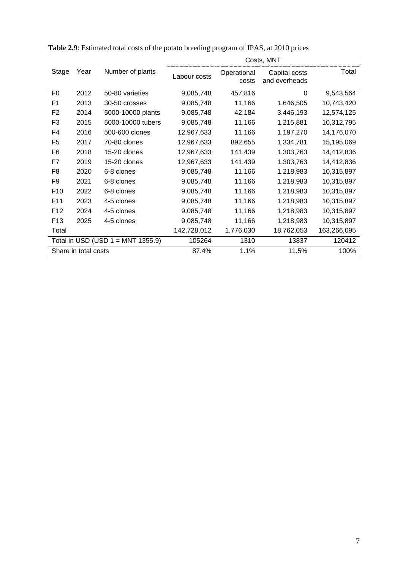|                                      |      |                   | Costs, MNT   |                      |                                |             |
|--------------------------------------|------|-------------------|--------------|----------------------|--------------------------------|-------------|
| Stage                                | Year | Number of plants  | Labour costs | Operational<br>costs | Capital costs<br>and overheads | Total       |
| F <sub>0</sub>                       | 2012 | 50-80 varieties   | 9,085,748    | 457,816              | 0                              | 9,543,564   |
| F <sub>1</sub>                       | 2013 | 30-50 crosses     | 9,085,748    | 11,166               | 1,646,505                      | 10,743,420  |
| F <sub>2</sub>                       | 2014 | 5000-10000 plants | 9,085,748    | 42,184               | 3,446,193                      | 12,574,125  |
| F <sub>3</sub>                       | 2015 | 5000-10000 tubers | 9,085,748    | 11,166               | 1,215,881                      | 10,312,795  |
| F4                                   | 2016 | 500-600 clones    | 12,967,633   | 11,166               | 1,197,270                      | 14,176,070  |
| F <sub>5</sub>                       | 2017 | 70-80 clones      | 12,967,633   | 892,655              | 1,334,781                      | 15,195,069  |
| F <sub>6</sub>                       | 2018 | 15-20 clones      | 12,967,633   | 141,439              | 1,303,763                      | 14,412,836  |
| F7                                   | 2019 | 15-20 clones      | 12,967,633   | 141,439              | 1,303,763                      | 14,412,836  |
| F <sub>8</sub>                       | 2020 | 6-8 clones        | 9,085,748    | 11,166               | 1,218,983                      | 10,315,897  |
| F9                                   | 2021 | 6-8 clones        | 9,085,748    | 11,166               | 1,218,983                      | 10,315,897  |
| F <sub>10</sub>                      | 2022 | 6-8 clones        | 9,085,748    | 11,166               | 1,218,983                      | 10,315,897  |
| F <sub>11</sub>                      | 2023 | 4-5 clones        | 9,085,748    | 11,166               | 1,218,983                      | 10,315,897  |
| F <sub>12</sub>                      | 2024 | 4-5 clones        | 9,085,748    | 11,166               | 1,218,983                      | 10,315,897  |
| F <sub>13</sub>                      | 2025 | 4-5 clones        | 9,085,748    | 11,166               | 1,218,983                      | 10,315,897  |
| Total                                |      |                   | 142,728,012  | 1,776,030            | 18,762,053                     | 163,266,095 |
| Total in USD (USD $1 = MNT 1355.9$ ) |      | 105264            | 1310         | 13837                | 120412                         |             |
| Share in total costs                 |      | 87.4%             | 1.1%         | 11.5%                | 100%                           |             |

<span id="page-12-0"></span>

|  | Table 2.9: Estimated total costs of the potato breeding program of IPAS, at 2010 prices |  |
|--|-----------------------------------------------------------------------------------------|--|
|--|-----------------------------------------------------------------------------------------|--|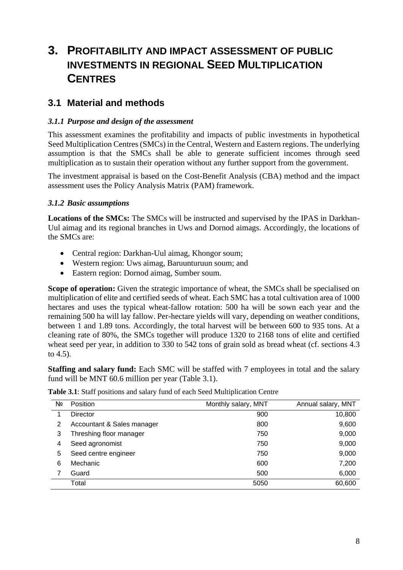## <span id="page-13-0"></span>**3. PROFITABILITY AND IMPACT ASSESSMENT OF PUBLIC INVESTMENTS IN REGIONAL SEED MULTIPLICATION CENTRES**

### <span id="page-13-1"></span>**3.1 Material and methods**

#### <span id="page-13-2"></span>*3.1.1 Purpose and design of the assessment*

This assessment examines the profitability and impacts of public investments in hypothetical Seed Multiplication Centres (SMCs) in the Central, Western and Eastern regions. The underlying assumption is that the SMCs shall be able to generate sufficient incomes through seed multiplication as to sustain their operation without any further support from the government.

The investment appraisal is based on the Cost-Benefit Analysis (CBA) method and the impact assessment uses the Policy Analysis Matrix (PAM) framework.

#### <span id="page-13-3"></span>*3.1.2 Basic assumptions*

Locations of the SMCs: The SMCs will be instructed and supervised by the IPAS in Darkhan-Uul aimag and its regional branches in Uws and Dornod aimags. Accordingly, the locations of the SMCs are:

- Central region: Darkhan-Uul aimag, Khongor soum;
- Western region: Uws aimag, Baruunturuun soum; and
- Eastern region: Dornod aimag, Sumber soum.

**Scope of operation:** Given the strategic importance of wheat, the SMCs shall be specialised on multiplication of elite and certified seeds of wheat. Each SMC has a total cultivation area of 1000 hectares and uses the typical wheat-fallow rotation: 500 ha will be sown each year and the remaining 500 ha will lay fallow. Per-hectare yields will vary, depending on weather conditions, between 1 and 1.89 tons. Accordingly, the total harvest will be between 600 to 935 tons. At a cleaning rate of 80%, the SMCs together will produce 1320 to 2168 tons of elite and certified wheat seed per year, in addition to 330 to 542 tons of grain sold as bread wheat (cf. sections 4.3 to 4.5).

**Staffing and salary fund:** Each SMC will be staffed with 7 employees in total and the salary fund will be MNT 60.6 million per year (Table 3.1).

| Nº | <b>Position</b>            | Monthly salary, MNT | Annual salary, MNT |
|----|----------------------------|---------------------|--------------------|
|    | Director                   | 900                 | 10,800             |
| 2  | Accountant & Sales manager | 800                 | 9,600              |
| 3  | Threshing floor manager    | 750                 | 9,000              |
| 4  | Seed agronomist            | 750                 | 9,000              |
| 5  | Seed centre engineer       | 750                 | 9,000              |
| 6  | Mechanic                   | 600                 | 7,200              |
|    | Guard                      | 500                 | 6,000              |
|    | Total                      | 5050                | 60,600             |

<span id="page-13-4"></span>**Table 3.1**: Staff positions and salary fund of each Seed Multiplication Centre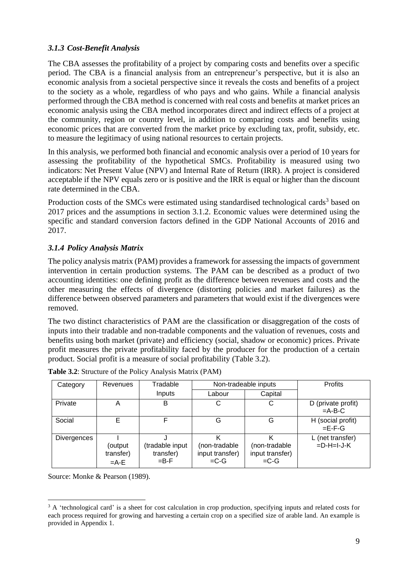#### <span id="page-14-0"></span>*3.1.3 Cost-Benefit Analysis*

The CBA assesses the profitability of a project by comparing costs and benefits over a specific period. The CBA is a financial analysis from an entrepreneur's perspective, but it is also an economic analysis from a societal perspective since it reveals the costs and benefits of a project to the society as a whole, regardless of who pays and who gains. While a financial analysis performed through the CBA method is concerned with real costs and benefits at market prices an economic analysis using the CBA method incorporates direct and indirect effects of a project at the community, region or country level, in addition to comparing costs and benefits using economic prices that are converted from the market price by excluding tax, profit, subsidy, etc. to measure the legitimacy of using national resources to certain projects.

In this analysis, we performed both financial and economic analysis over a period of 10 years for assessing the profitability of the hypothetical SMCs. Profitability is measured using two indicators: Net Present Value (NPV) and Internal Rate of Return (IRR). A project is considered acceptable if the NPV equals zero or is positive and the IRR is equal or higher than the discount rate determined in the CBA.

Production costs of the SMCs were estimated using standardised technological cards<sup>3</sup> based on 2017 prices and the assumptions in section 3.1.2. Economic values were determined using the specific and standard conversion factors defined in the GDP National Accounts of 2016 and 2017.

### <span id="page-14-1"></span>*3.1.4 Policy Analysis Matrix*

The policy analysis matrix (PAM) provides a framework for assessing the impacts of government intervention in certain production systems. The PAM can be described as a product of two accounting identities: one defining profit as the difference between revenues and costs and the other measuring the effects of divergence (distorting policies and market failures) as the difference between observed parameters and parameters that would exist if the divergences were removed.

The two distinct characteristics of PAM are the classification or disaggregation of the costs of inputs into their tradable and non-tradable components and the valuation of revenues, costs and benefits using both market (private) and efficiency (social, shadow or economic) prices. Private profit measures the private profitability faced by the producer for the production of a certain product. Social profit is a measure of social profitability (Table 3.2).

| Category    | Revenues                        | Tradable                                  |                                            | Non-tradeable inputs                        |                                           |  |
|-------------|---------------------------------|-------------------------------------------|--------------------------------------------|---------------------------------------------|-------------------------------------------|--|
|             |                                 | Inputs                                    | Labour                                     | Capital                                     |                                           |  |
| Private     | Α                               | B                                         | С                                          | С                                           | D (private profit)<br>$=A-B-C$            |  |
| Social      | Е                               | F                                         | G                                          | G                                           | H (social profit)<br>$=E-F-G$             |  |
| Divergences | output)<br>transfer)<br>$=$ A-E | (tradable input<br>transfer)<br>$= B - F$ | (non-tradable<br>input transfer)<br>$=C-G$ | (non-tradable)<br>input transfer)<br>$=C-G$ | L (net transfer)<br>$= D - H = I - J - K$ |  |

<span id="page-14-2"></span>

| <b>Table 3.2:</b> Structure of the Policy Analysis Matrix (PAM) |  |  |  |
|-----------------------------------------------------------------|--|--|--|
|                                                                 |  |  |  |

Source: Monke & Pearson (1989).

<sup>&</sup>lt;sup>3</sup> A 'technological card' is a sheet for cost calculation in crop production, specifying inputs and related costs for each process required for growing and harvesting a certain crop on a specified size of arable land. An example is provided in Appendix 1.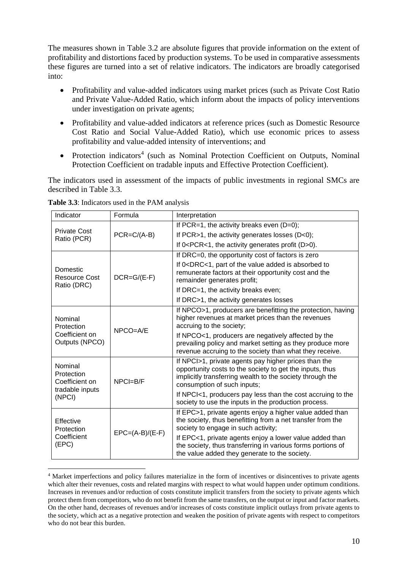The measures shown in Table 3.2 are absolute figures that provide information on the extent of profitability and distortions faced by production systems. To be used in comparative assessments these figures are turned into a set of relative indicators. The indicators are broadly categorised into:

- Profitability and value-added indicators using market prices (such as Private Cost Ratio and Private Value-Added Ratio, which inform about the impacts of policy interventions under investigation on private agents;
- Profitability and value-added indicators at reference prices (such as Domestic Resource Cost Ratio and Social Value-Added Ratio), which use economic prices to assess profitability and value-added intensity of interventions; and
- Protection indicators<sup>4</sup> (such as Nominal Protection Coefficient on Outputs, Nominal Protection Coefficient on tradable inputs and Effective Protection Coefficient).

The indicators used in assessment of the impacts of public investments in regional SMCs are described in Table 3.3.

| Indicator                                                  | Formula           | Interpretation                                                                                                                                                                                                                                                    |  |  |
|------------------------------------------------------------|-------------------|-------------------------------------------------------------------------------------------------------------------------------------------------------------------------------------------------------------------------------------------------------------------|--|--|
| <b>Private Cost</b>                                        |                   | If PCR=1, the activity breaks even $(D=0)$ ;                                                                                                                                                                                                                      |  |  |
| Ratio (PCR)                                                | $PCR = C/(A-B)$   | If PCR>1, the activity generates losses $(D<0)$ ;                                                                                                                                                                                                                 |  |  |
|                                                            |                   | If $0 < PCR < 1$ , the activity generates profit $(D>0)$ .                                                                                                                                                                                                        |  |  |
|                                                            |                   | If DRC=0, the opportunity cost of factors is zero                                                                                                                                                                                                                 |  |  |
| Domestic<br>Resource Cost<br>Ratio (DRC)                   | $DCR = G/(E-F)$   | If 0 <drc<1, absorbed="" added="" is="" of="" part="" the="" to<br="" value="">remunerate factors at their opportunity cost and the<br/>remainder generates profit;</drc<1,>                                                                                      |  |  |
|                                                            |                   | If DRC=1, the activity breaks even;                                                                                                                                                                                                                               |  |  |
|                                                            |                   | If DRC>1, the activity generates losses                                                                                                                                                                                                                           |  |  |
| Nominal<br>Protection<br>Coefficient on<br>Outputs (NPCO)  | $NPCO=AYE$        | If NPCO>1, producers are benefitting the protection, having<br>higher revenues at market prices than the revenues<br>accruing to the society;<br>If NPCO<1, producers are negatively affected by the<br>prevailing policy and market setting as they produce more |  |  |
|                                                            |                   | revenue accruing to the society than what they receive.                                                                                                                                                                                                           |  |  |
| Nominal<br>Protection<br>Coefficient on<br>tradable inputs | $NPCI=B/F$        | If NPCI>1, private agents pay higher prices than the<br>opportunity costs to the society to get the inputs, thus<br>implicitly transferring wealth to the society through the<br>consumption of such inputs;                                                      |  |  |
| (NPCI)                                                     |                   | If NPCI<1, producers pay less than the cost accruing to the<br>society to use the inputs in the production process.                                                                                                                                               |  |  |
| Effective<br>Protection                                    | $EPC=(A-B)/(E-F)$ | If EPC>1, private agents enjoy a higher value added than<br>the society, thus benefitting from a net transfer from the<br>society to engage in such activity;                                                                                                     |  |  |
| Coefficient<br>(EPC)                                       |                   | If EPC<1, private agents enjoy a lower value added than<br>the society, thus transferring in various forms portions of<br>the value added they generate to the society.                                                                                           |  |  |

<span id="page-15-0"></span>**Table 3.3**: Indicators used in the PAM analysis

<sup>4</sup> Market imperfections and policy failures materialize in the form of incentives or disincentives to private agents which alter their revenues, costs and related margins with respect to what would happen under optimum conditions. Increases in revenues and/or reduction of costs constitute implicit transfers from the society to private agents which protect them from competitors, who do not benefit from the same transfers, on the output or input and factor markets. On the other hand, decreases of revenues and/or increases of costs constitute implicit outlays from private agents to the society, which act as a negative protection and weaken the position of private agents with respect to competitors who do not bear this burden.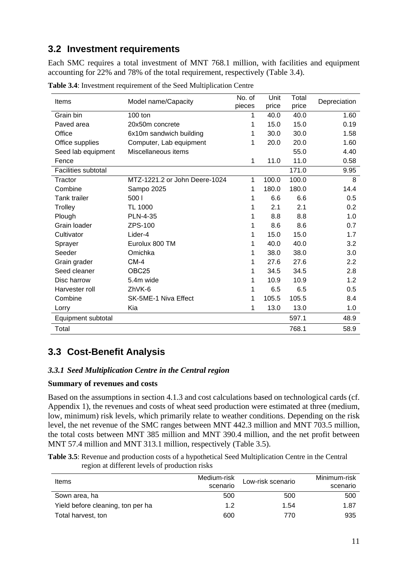### <span id="page-16-0"></span>**3.2 Investment requirements**

Each SMC requires a total investment of MNT 768.1 million, with facilities and equipment accounting for 22% and 78% of the total requirement, respectively (Table 3.4).

| Items                      | Model name/Capacity           | No. of<br>pieces | Unit<br>price | Total<br>price | Depreciation |
|----------------------------|-------------------------------|------------------|---------------|----------------|--------------|
| Grain bin                  | 100 ton                       | 1                | 40.0          | 40.0           | 1.60         |
| Paved area                 | 20x50m concrete               | 1                | 15.0          | 15.0           | 0.19         |
| Office                     | 6x10m sandwich building       | 1                | 30.0          | 30.0           | 1.58         |
| Office supplies            | Computer, Lab equipment       | 1                | 20.0          | 20.0           | 1.60         |
| Seed lab equipment         | Miscellaneous items           |                  |               | 55.0           | 4.40         |
| Fence                      |                               | $\mathbf 1$      | 11.0          | 11.0           | 0.58         |
| <b>Facilities subtotal</b> |                               |                  |               | 171.0          | 9.95         |
| Tractor                    | MTZ-1221.2 or John Deere-1024 | 1                | 100.0         | 100.0          | 8            |
| Combine                    | Sampo 2025                    | 1                | 180.0         | 180.0          | 14.4         |
| <b>Tank trailer</b>        | 500 l                         | 1                | 6.6           | 6.6            | 0.5          |
| Trolley                    | <b>TL 1000</b>                | 1                | 2.1           | 2.1            | 0.2          |
| Plough                     | <b>PLN-4-35</b>               | 1                | 8.8           | 8.8            | 1.0          |
| Grain loader               | ZPS-100                       | 1                | 8.6           | 8.6            | 0.7          |
| Cultivator                 | Lider-4                       | 1                | 15.0          | 15.0           | 1.7          |
| Sprayer                    | Eurolux 800 TM                | 1                | 40.0          | 40.0           | 3.2          |
| Seeder                     | Omichka                       | 1                | 38.0          | 38.0           | 3.0          |
| Grain grader               | $CM-4$                        | 1                | 27.6          | 27.6           | 2.2          |
| Seed cleaner               | OBC <sub>25</sub>             | 1                | 34.5          | 34.5           | 2.8          |
| Disc harrow                | 5.4m wide                     | 1                | 10.9          | 10.9           | 1.2          |
| Harvester roll             | ZhVK-6                        | 1                | 6.5           | 6.5            | 0.5          |
| Combine                    | SK-5ME-1 Niva Effect          | 1                | 105.5         | 105.5          | 8.4          |
| Lorry                      | Kia                           | 1                | 13.0          | 13.0           | 1.0          |
| Equipment subtotal         |                               |                  |               | 597.1          | 48.9         |
| Total                      |                               |                  |               | 768.1          | 58.9         |

<span id="page-16-3"></span>**Table 3.4**: Investment requirement of the Seed Multiplication Centre

### <span id="page-16-1"></span>**3.3 Cost-Benefit Analysis**

#### <span id="page-16-2"></span>*3.3.1 Seed Multiplication Centre in the Central region*

#### **Summary of revenues and costs**

Based on the assumptions in section 4.1.3 and cost calculations based on technological cards (cf. Appendix 1), the revenues and costs of wheat seed production were estimated at three (medium, low, minimum) risk levels, which primarily relate to weather conditions. Depending on the risk level, the net revenue of the SMC ranges between MNT 442.3 million and MNT 703.5 million, the total costs between MNT 385 million and MNT 390.4 million, and the net profit between MNT 57.4 million and MNT 313.1 million, respectively (Table 3.5).

<span id="page-16-4"></span>**Table 3.5**: Revenue and production costs of a hypothetical Seed Multiplication Centre in the Central region at different levels of production risks

| Items                             | Medium-risk<br>scenario | Low-risk scenario | Minimum-risk<br>scenario |
|-----------------------------------|-------------------------|-------------------|--------------------------|
| Sown area, ha                     | 500                     | 500               | 500                      |
| Yield before cleaning, ton per ha | 1.2                     | 1.54              | 1.87                     |
| Total harvest, ton                | 600                     | 770               | 935                      |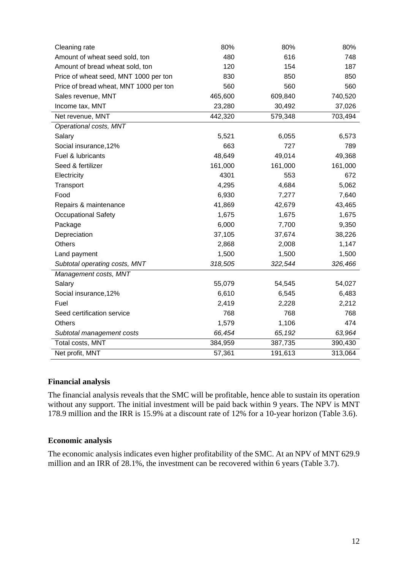| Cleaning rate                          | 80%     | 80%     | 80%     |
|----------------------------------------|---------|---------|---------|
| Amount of wheat seed sold, ton         | 480     | 616     | 748     |
| Amount of bread wheat sold, ton        | 120     | 154     | 187     |
| Price of wheat seed, MNT 1000 per ton  | 830     | 850     | 850     |
| Price of bread wheat, MNT 1000 per ton | 560     | 560     | 560     |
| Sales revenue, MNT                     | 465,600 | 609,840 | 740,520 |
| Income tax, MNT                        | 23,280  | 30,492  | 37,026  |
| Net revenue, MNT                       | 442,320 | 579,348 | 703,494 |
| Operational costs, MNT                 |         |         |         |
| Salary                                 | 5,521   | 6,055   | 6,573   |
| Social insurance, 12%                  | 663     | 727     | 789     |
| Fuel & lubricants                      | 48,649  | 49,014  | 49,368  |
| Seed & fertilizer                      | 161,000 | 161,000 | 161,000 |
| Electricity                            | 4301    | 553     | 672     |
| Transport                              | 4,295   | 4,684   | 5,062   |
| Food                                   | 6,930   | 7,277   | 7,640   |
| Repairs & maintenance                  | 41,869  | 42,679  | 43,465  |
| <b>Occupational Safety</b>             | 1,675   | 1,675   | 1,675   |
| Package                                | 6,000   | 7,700   | 9,350   |
| Depreciation                           | 37,105  | 37,674  | 38,226  |
| <b>Others</b>                          | 2,868   | 2,008   | 1,147   |
| Land payment                           | 1,500   | 1,500   | 1,500   |
| Subtotal operating costs, MNT          | 318,505 | 322,544 | 326,466 |
| Management costs, MNT                  |         |         |         |
| Salary                                 | 55,079  | 54,545  | 54,027  |
| Social insurance, 12%                  | 6,610   | 6,545   | 6,483   |
| Fuel                                   | 2,419   | 2,228   | 2,212   |
| Seed certification service             | 768     | 768     | 768     |
| <b>Others</b>                          | 1,579   | 1,106   | 474     |
| Subtotal management costs              | 66,454  | 65,192  | 63,964  |
| Total costs, MNT                       | 384,959 | 387,735 | 390,430 |
| Net profit, MNT                        | 57,361  | 191,613 | 313,064 |

#### **Financial analysis**

The financial analysis reveals that the SMC will be profitable, hence able to sustain its operation without any support. The initial investment will be paid back within 9 years. The NPV is MNT 178.9 million and the IRR is 15.9% at a discount rate of 12% for a 10-year horizon (Table 3.6).

#### **Economic analysis**

The economic analysis indicates even higher profitability of the SMC. At an NPV of MNT 629.9 million and an IRR of 28.1%, the investment can be recovered within 6 years (Table 3.7).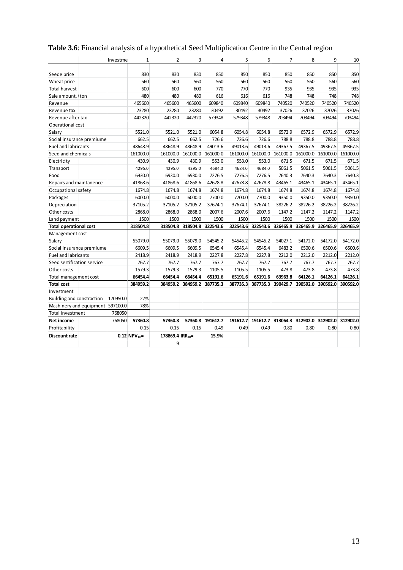|                                  | Investme  | $\mathbf{1}$               | $\overline{2}$               | 3        | 4        | 5        | 6        | 7        | 8                 | 9                 | 10       |
|----------------------------------|-----------|----------------------------|------------------------------|----------|----------|----------|----------|----------|-------------------|-------------------|----------|
|                                  |           |                            |                              |          |          |          |          |          |                   |                   |          |
| Seede price                      |           | 830                        | 830                          | 830      | 850      | 850      | 850      | 850      | 850               | 850               | 850      |
| Wheat price                      |           | 560                        | 560                          | 560      | 560      | 560      | 560      | 560      | 560               | 560               | 560      |
| <b>Total harvest</b>             |           | 600                        | 600                          | 600      | 770      | 770      | 770      | 935      | 935               | 935               | 935      |
| Sale amount, I ton               |           | 480                        | 480                          | 480      | 616      | 616      | 616      | 748      | 748               | 748               | 748      |
| Revenue                          |           | 465600                     | 465600                       | 465600   | 609840   | 609840   | 609840   | 740520   | 740520            | 740520            | 740520   |
| Revenue tax                      |           | 23280                      | 23280                        | 23280    | 30492    | 30492    | 30492    | 37026    | 37026             | 37026             | 37026    |
| Revenue after tax                |           | 442320                     | 442320                       | 442320   | 579348   | 579348   | 579348   | 703494   | 703494            | 703494            | 703494   |
| Operational cost                 |           |                            |                              |          |          |          |          |          |                   |                   |          |
| Salary                           |           | 5521.0                     | 5521.0                       | 5521.0   | 6054.8   | 6054.8   | 6054.8   | 6572.9   | 6572.9            | 6572.9            | 6572.9   |
| Social insurance premiume        |           | 662.5                      | 662.5                        | 662.5    | 726.6    | 726.6    | 726.6    | 788.8    | 788.8             | 788.8             | 788.8    |
| <b>Fuel and labricants</b>       |           | 48648.9                    | 48648.9                      | 48648.9  | 49013.6  | 49013.6  | 49013.6  | 49367.5  | 49367.5           | 49367.5           | 49367.5  |
| Seed and chemicals               |           | 161000.0                   | 161000.0                     | 161000.0 | 161000.0 | 161000.0 | 161000.0 | 161000.0 | 161000.0          | 161000.0          | 161000.0 |
| Electricity                      |           | 430.9                      | 430.9                        | 430.9    | 553.0    | 553.0    | 553.0    | 671.5    | 671.5             | 671.5             | 671.5    |
| Transport                        |           | 4295.0                     | 4295.0                       | 4295.0   | 4684.0   | 4684.0   | 4684.0   | 5061.5   | 5061.5            | 5061.5            | 5061.5   |
| Food                             |           | 6930.0                     | 6930.0                       | 6930.0   | 7276.5   | 7276.5   | 7276.5   | 7640.3   | 7640.3            | 7640.3            | 7640.3   |
| Repairs and maintanence          |           | 41868.6                    | 41868.6                      | 41868.6  | 42678.8  | 42678.8  | 42678.8  | 43465.1  | 43465.1           | 43465.1           | 43465.1  |
| Occupational safety              |           | 1674.8                     | 1674.8                       | 1674.8   | 1674.8   | 1674.8   | 1674.8   | 1674.8   | 1674.8            | 1674.8            | 1674.8   |
| Packages                         |           | 6000.0                     | 6000.0                       | 6000.0   | 7700.0   | 7700.0   | 7700.0   | 9350.0   | 9350.0            | 9350.0            | 9350.0   |
| Depreciation                     |           | 37105.2                    | 37105.2                      | 37105.2  | 37674.1  | 37674.1  | 37674.1  | 38226.2  | 38226.2           | 38226.2           | 38226.2  |
| Other costs                      |           | 2868.0                     | 2868.0                       | 2868.0   | 2007.6   | 2007.6   | 2007.6   | 1147.2   | 1147.2            | 1147.2            | 1147.2   |
| Land payment                     |           | 1500                       | 1500                         | 1500     | 1500     | 1500     | 1500     | 1500     | 1500              | 1500              | 1500     |
| <b>Total operational cost</b>    |           | 318504.8                   | 318504.8                     | 318504.8 | 322543.6 | 322543.6 | 322543.6 | 326465.9 | 326465.9          | 326465.9          | 326465.9 |
| Management cost                  |           |                            |                              |          |          |          |          |          |                   |                   |          |
| Salary                           |           | 55079.0                    | 55079.0                      | 55079.0  | 54545.2  | 54545.2  | 54545.2  | 54027.1  | 54172.0           | 54172.0           | 54172.0  |
| Social insurance premiume        |           | 6609.5                     | 6609.5                       | 6609.5   | 6545.4   | 6545.4   | 6545.4   | 6483.2   | 6500.6            | 6500.6            | 6500.6   |
| <b>Fuel and labricants</b>       |           | 2418.9                     | 2418.9                       | 2418.9   | 2227.8   | 2227.8   | 2227.8   | 2212.0   | 2212.0            | 2212.0            | 2212.0   |
| Seed sertification service       |           | 767.7                      | 767.7                        | 767.7    | 767.7    | 767.7    | 767.7    | 767.7    | 767.7             | 767.7             | 767.7    |
| Other costs                      |           | 1579.3                     | 1579.3                       | 1579.3   | 1105.5   | 1105.5   | 1105.5   | 473.8    | 473.8             | 473.8             | 473.8    |
| Total management cost            |           | 66454.4                    | 66454.4                      | 66454.4  | 65191.6  | 65191.6  | 65191.6  | 63963.8  | 64126.1           | 64126.1           | 64126.1  |
| <b>Total cost</b>                |           | 384959.2                   | 384959.2                     | 384959.2 | 387735.3 | 387735.3 | 387735.3 | 390429.7 | 390592.0          | 390592.0          | 390592.0 |
| Investment                       |           |                            |                              |          |          |          |          |          |                   |                   |          |
| Building and constraction        | 170950.0  | 22%                        |                              |          |          |          |          |          |                   |                   |          |
| Mashinery and equipment 597100.0 |           | 78%                        |                              |          |          |          |          |          |                   |                   |          |
| <b>Total investment</b>          | 768050    |                            |                              |          |          |          |          |          |                   |                   |          |
| Net income                       | $-768050$ | 57360.8                    | 57360.8                      | 57360.8  | 191612.7 | 191612.7 | 191612.7 |          | 313064.3 312902.0 | 312902.0 312902.0 |          |
| Profitability                    |           | 0.15                       | 0.15                         | 0.15     | 0.49     | 0.49     | 0.49     | 0.80     | 0.80              | 0.80              | 0.80     |
| <b>Discount rate</b>             |           | $0.12$ NPV <sub>10</sub> = | 178869.4 IRR <sub>10</sub> = |          | 15.9%    |          |          |          |                   |                   |          |
|                                  |           |                            | 9                            |          |          |          |          |          |                   |                   |          |

### <span id="page-18-0"></span>**Table 3.6**: Financial analysis of a hypothetical Seed Multiplication Centre in the Central region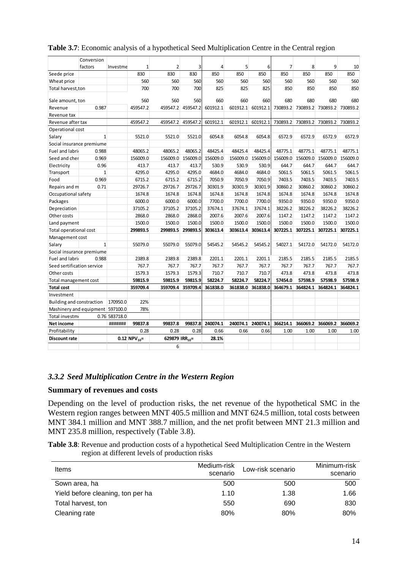|                                  | Conversion   |               |                            |                            |          |          |          |          |                |          |          |                   |
|----------------------------------|--------------|---------------|----------------------------|----------------------------|----------|----------|----------|----------|----------------|----------|----------|-------------------|
|                                  | factors      | Investme      | 1                          | 2                          | 3        | 4        | 5        | 6        | $\overline{7}$ | 8        | 9        | 10                |
| Seede price                      |              |               | 830                        | 830                        | 830      | 850      | 850      | 850      | 850            | 850      | 850      | 850               |
| Wheat price                      |              |               | 560                        | 560                        | 560      | 560      | 560      | 560      | 560            | 560      | 560      | 560               |
| Total harvest,ton                |              |               | 700                        | 700                        | 700      | 825      | 825      | 825      | 850            | 850      | 850      | 850               |
| Sale amount, ton                 |              |               | 560                        | 560                        | 560      | 660      | 660      | 660      | 680            | 680      | 680      | 680               |
| Revenue                          | 0.987        |               | 459547.2                   | 459547.2                   | 459547.2 | 601912.1 | 601912.1 | 601912.1 | 730893.2       | 730893.2 |          | 730893.2 730893.2 |
| Revenue tax                      |              |               |                            |                            |          |          |          |          |                |          |          |                   |
| Revenue after tax                |              |               | 459547.2                   | 459547.2                   | 459547.2 | 601912.1 | 601912.1 | 601912.1 | 730893.2       | 730893.2 | 730893.2 | 730893.2          |
| Operational cost                 |              |               |                            |                            |          |          |          |          |                |          |          |                   |
| Salary                           | $\mathbf{1}$ |               | 5521.0                     | 5521.0                     | 5521.0   | 6054.8   | 6054.8   | 6054.8   | 6572.9         | 6572.9   | 6572.9   | 6572.9            |
| Social insurance premiume        |              |               |                            |                            |          |          |          |          |                |          |          |                   |
| Fuel and labrid                  | 0.988        |               | 48065.2                    | 48065.2                    | 48065.2  | 48425.4  | 48425.4  | 48425.4  | 48775.1        | 48775.1  | 48775.1  | 48775.1           |
| Seed and cher                    | 0.969        |               | 156009.0                   | 156009.0                   | 156009.0 | 156009.0 | 156009.0 | 156009.0 | 156009.0       | 156009.0 | 156009.0 | 156009.0          |
| Electricity                      | 0.96         |               | 413.7                      | 413.7                      | 413.7    | 530.9    | 530.9    | 530.9    | 644.7          | 644.7    | 644.7    | 644.7             |
| Transport                        | $\mathbf{1}$ |               | 4295.0                     | 4295.0                     | 4295.0   | 4684.0   | 4684.0   | 4684.0   | 5061.5         | 5061.5   | 5061.5   | 5061.5            |
| Food                             | 0.969        |               | 6715.2                     | 6715.2                     | 6715.2   | 7050.9   | 7050.9   | 7050.9   | 7403.5         | 7403.5   | 7403.5   | 7403.5            |
| Repairs and m                    | 0.71         |               | 29726.7                    | 29726.7                    | 29726.7  | 30301.9  | 30301.9  | 30301.9  | 30860.2        | 30860.2  | 30860.2  | 30860.2           |
| Occupational safety              |              |               | 1674.8                     | 1674.8                     | 1674.8   | 1674.8   | 1674.8   | 1674.8   | 1674.8         | 1674.8   | 1674.8   | 1674.8            |
| Packages                         |              |               | 6000.0                     | 6000.0                     | 6000.0   | 7700.0   | 7700.0   | 7700.0   | 9350.0         | 9350.0   | 9350.0   | 9350.0            |
| Depreciation                     |              |               | 37105.2                    | 37105.2                    | 37105.2  | 37674.1  | 37674.1  | 37674.1  | 38226.2        | 38226.2  | 38226.2  | 38226.2           |
| Other costs                      |              |               | 2868.0                     | 2868.0                     | 2868.0   | 2007.6   | 2007.6   | 2007.6   | 1147.2         | 1147.2   | 1147.2   | 1147.2            |
| Land payment                     |              |               | 1500.0                     | 1500.0                     | 1500.0   | 1500.0   | 1500.0   | 1500.0   | 1500.0         | 1500.0   | 1500.0   | 1500.0            |
| Total operational cost           |              |               | 299893.5                   | 299893.5                   | 299893.5 | 303613.4 | 303613.4 | 303613.4 | 307225.1       | 307225.1 | 307225.1 | 307225.1          |
| Management cost                  |              |               |                            |                            |          |          |          |          |                |          |          |                   |
| Salary                           | $\mathbf{1}$ |               | 55079.0                    | 55079.0                    | 55079.0  | 54545.2  | 54545.2  | 54545.2  | 54027.1        | 54172.0  | 54172.0  | 54172.0           |
| Social insurance premiume        |              |               |                            |                            |          |          |          |          |                |          |          |                   |
| Fuel and labrid                  | 0.988        |               | 2389.8                     | 2389.8                     | 2389.8   | 2201.1   | 2201.1   | 2201.1   | 2185.5         | 2185.5   | 2185.5   | 2185.5            |
| Seed sertification service       |              |               | 767.7                      | 767.7                      | 767.7    | 767.7    | 767.7    | 767.7    | 767.7          | 767.7    | 767.7    | 767.7             |
| Other costs                      |              |               | 1579.3                     | 1579.3                     | 1579.3   | 710.7    | 710.7    | 710.7    | 473.8          | 473.8    | 473.8    | 473.8             |
| Total management cost            |              |               | 59815.9                    | 59815.9                    | 59815.9  | 58224.7  | 58224.7  | 58224.7  | 57454.0        | 57598.9  | 57598.9  | 57598.9           |
| <b>Total cost</b>                |              |               | 359709.4                   | 359709.4                   | 359709.4 | 361838.0 | 361838.0 | 361838.0 | 364679.1       | 364824.1 | 364824.1 | 364824.1          |
| Investment                       |              |               |                            |                            |          |          |          |          |                |          |          |                   |
| Building and constraction        |              | 170950.0      | 22%                        |                            |          |          |          |          |                |          |          |                   |
| Mashinery and equipment 597100.0 |              |               | 78%                        |                            |          |          |          |          |                |          |          |                   |
| Total investme                   |              | 0.76 583718.0 |                            |                            |          |          |          |          |                |          |          |                   |
| Net income                       |              | #######       | 99837.8                    | 99837.8                    | 99837.8  | 240074.1 | 240074.1 | 240074.1 | 366214.1       | 366069.2 | 366069.2 | 366069.2          |
| Profitability                    |              |               | 0.28                       | 0.28                       | 0.28     | 0.66     | 0.66     | 0.66     | 1.00           | 1.00     | 1.00     | 1.00              |
| <b>Discount rate</b>             |              |               | $0.12$ NPV <sub>10</sub> = | 629879 IRR <sub>10</sub> = |          | 28.1%    |          |          |                |          |          |                   |
|                                  |              |               |                            | 6                          |          |          |          |          |                |          |          |                   |

#### <span id="page-19-1"></span>**Table 3.7**: Economic analysis of a hypothetical Seed Multiplication Centre in the Central region

#### <span id="page-19-0"></span>*3.3.2 Seed Multiplication Centre in the Western Region*

#### **Summary of revenues and costs**

Depending on the level of production risks, the net revenue of the hypothetical SMC in the Western region ranges between MNT 405.5 million and MNT 624.5 million, total costs between MNT 384.1 million and MNT 388.7 million, and the net profit between MNT 21.3 million and MNT 235.8 million, respectively (Table 3.8).

<span id="page-19-2"></span>**Table 3.8**: Revenue and production costs of a hypothetical Seed Multiplication Centre in the Western region at different levels of production risks

| Items                             | Medium-risk<br>scenario | Low-risk scenario | Minimum-risk<br>scenario |
|-----------------------------------|-------------------------|-------------------|--------------------------|
| Sown area, ha                     | 500                     | 500               | 500                      |
| Yield before cleaning, ton per ha | 1.10                    | 1.38              | 1.66                     |
| Total harvest, ton                | 550                     | 690               | 830                      |
| Cleaning rate                     | 80%                     | 80%               | 80%                      |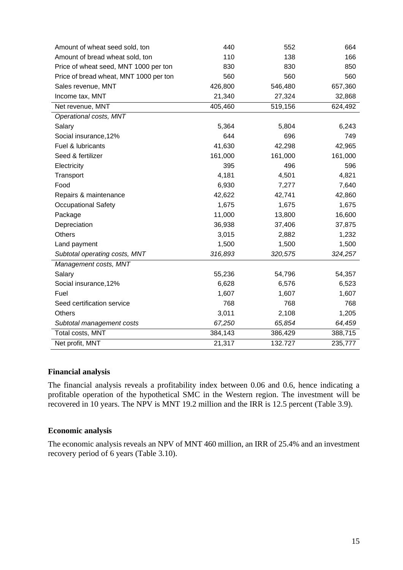| Amount of wheat seed sold, ton         | 440     | 552     | 664     |
|----------------------------------------|---------|---------|---------|
| Amount of bread wheat sold, ton        | 110     | 138     | 166     |
| Price of wheat seed, MNT 1000 per ton  | 830     | 830     | 850     |
| Price of bread wheat, MNT 1000 per ton | 560     | 560     | 560     |
| Sales revenue, MNT                     | 426,800 | 546,480 | 657,360 |
| Income tax, MNT                        | 21,340  | 27,324  | 32,868  |
| Net revenue, MNT                       | 405,460 | 519,156 | 624,492 |
| Operational costs, MNT                 |         |         |         |
| Salary                                 | 5,364   | 5,804   | 6,243   |
| Social insurance, 12%                  | 644     | 696     | 749     |
| Fuel & lubricants                      | 41,630  | 42,298  | 42,965  |
| Seed & fertilizer                      | 161,000 | 161,000 | 161,000 |
| Electricity                            | 395     | 496     | 596     |
| Transport                              | 4,181   | 4,501   | 4,821   |
| Food                                   | 6,930   | 7,277   | 7,640   |
| Repairs & maintenance                  | 42,622  | 42,741  | 42,860  |
| <b>Occupational Safety</b>             | 1,675   | 1,675   | 1,675   |
| Package                                | 11,000  | 13,800  | 16,600  |
| Depreciation                           | 36,938  | 37,406  | 37,875  |
| <b>Others</b>                          | 3,015   | 2,882   | 1,232   |
| Land payment                           | 1,500   | 1,500   | 1,500   |
| Subtotal operating costs, MNT          | 316,893 | 320,575 | 324,257 |
| Management costs, MNT                  |         |         |         |
| Salary                                 | 55,236  | 54,796  | 54,357  |
| Social insurance, 12%                  | 6,628   | 6,576   | 6,523   |
| Fuel                                   | 1,607   | 1,607   | 1,607   |
| Seed certification service             | 768     | 768     | 768     |
| Others                                 | 3,011   | 2,108   | 1,205   |
| Subtotal management costs              | 67,250  | 65,854  | 64,459  |
| Total costs, MNT                       | 384,143 | 386,429 | 388,715 |
| Net profit, MNT                        | 21,317  | 132.727 | 235,777 |

#### **Financial analysis**

The financial analysis reveals a profitability index between 0.06 and 0.6, hence indicating a profitable operation of the hypothetical SMC in the Western region. The investment will be recovered in 10 years. The NPV is MNT 19.2 million and the IRR is 12.5 percent (Table 3.9).

#### **Economic analysis**

The economic analysis reveals an NPV of MNT 460 million, an IRR of 25.4% and an investment recovery period of 6 years (Table 3.10).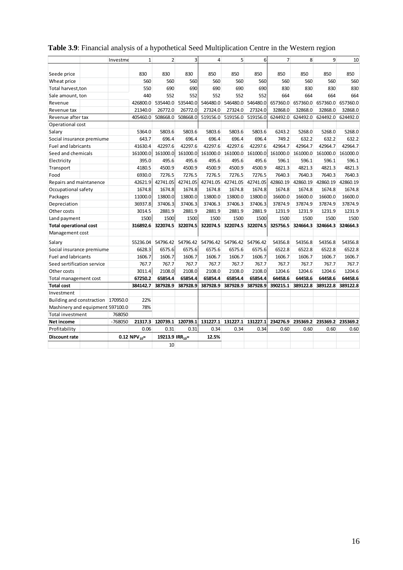|                                    | Investme  | $\mathbf{1}$               | $\overline{2}$              | 3        | $\overline{4}$ | 5                 | 6        | $\overline{7}$ | 8        | 9        | 10       |
|------------------------------------|-----------|----------------------------|-----------------------------|----------|----------------|-------------------|----------|----------------|----------|----------|----------|
|                                    |           |                            |                             |          |                |                   |          |                |          |          |          |
| Seede price                        |           | 830                        | 830                         | 830      | 850            | 850               | 850      | 850            | 850      | 850      | 850      |
| Wheat price                        |           | 560                        | 560                         | 560      | 560            | 560               | 560      | 560            | 560      | 560      | 560      |
| Total harvest, ton                 |           | 550                        | 690                         | 690      | 690            | 690               | 690      | 830            | 830      | 830      | 830      |
| Sale amount, ton                   |           | 440                        | 552                         | 552      | 552            | 552               | 552      | 664            | 664      | 664      | 664      |
| Revenue                            |           | 426800.0                   | 535440.0                    | 535440.0 | 546480.0       | 546480.0          | 546480.0 | 657360.0       | 657360.0 | 657360.0 | 657360.0 |
| Revenue tax                        |           | 21340.0                    | 26772.0                     | 26772.0  | 27324.0        | 27324.0           | 27324.0  | 32868.0        | 32868.0  | 32868.0  | 32868.0  |
| Revenue after tax                  |           | 405460.0                   | 508668.0                    | 508668.0 | 519156.0       | 519156.0          | 519156.0 | 624492.0       | 624492.0 | 624492.0 | 624492.0 |
| Operational cost                   |           |                            |                             |          |                |                   |          |                |          |          |          |
| Salary                             |           | 5364.0                     | 5803.6                      | 5803.6   | 5803.6         | 5803.6            | 5803.6   | 6243.2         | 5268.0   | 5268.0   | 5268.0   |
| Social insurance premiume          |           | 643.7                      | 696.4                       | 696.4    | 696.4          | 696.4             | 696.4    | 749.2          | 632.2    | 632.2    | 632.2    |
| <b>Fuel and labricants</b>         |           | 41630.4                    | 42297.6                     | 42297.6  | 42297.6        | 42297.6           | 42297.6  | 42964.7        | 42964.7  | 42964.7  | 42964.7  |
| Seed and chemicals                 |           | 161000.0                   | 161000.0                    | 161000.0 | 161000.0       | 161000.0          | 161000.0 | 161000.0       | 161000.0 | 161000.0 | 161000.0 |
| Electricity                        |           | 395.0                      | 495.6                       | 495.6    | 495.6          | 495.6             | 495.6    | 596.1          | 596.1    | 596.1    | 596.1    |
| Transport                          |           | 4180.5                     | 4500.9                      | 4500.9   | 4500.9         | 4500.9            | 4500.9   | 4821.3         | 4821.3   | 4821.3   | 4821.3   |
| Food                               |           | 6930.0                     | 7276.5                      | 7276.5   | 7276.5         | 7276.5            | 7276.5   | 7640.3         | 7640.3   | 7640.3   | 7640.3   |
| Repairs and maintanence            |           | 42621.9                    | 42741.05                    | 42741.05 | 42741.05       | 42741.05          | 42741.05 | 42860.19       | 42860.19 | 42860.19 | 42860.19 |
| Occupational safety                |           | 1674.8                     | 1674.8                      | 1674.8   | 1674.8         | 1674.8            | 1674.8   | 1674.8         | 1674.8   | 1674.8   | 1674.8   |
| Packages                           |           | 11000.0                    | 13800.0                     | 13800.0  | 13800.0        | 13800.0           | 13800.0  | 16600.0        | 16600.0  | 16600.0  | 16600.0  |
| Depreciation                       |           | 36937.8                    | 37406.3                     | 37406.3  | 37406.3        | 37406.3           | 37406.3  | 37874.9        | 37874.9  | 37874.9  | 37874.9  |
| Other costs                        |           | 3014.5                     | 2881.9                      | 2881.9   | 2881.9         | 2881.9            | 2881.9   | 1231.9         | 1231.9   | 1231.9   | 1231.9   |
| Land payment                       |           | 1500                       | 1500                        | 1500     | 1500           | 1500              | 1500     | 1500           | 1500     | 1500     | 1500     |
| <b>Total operational cost</b>      |           | 316892.6                   | 322074.5                    | 322074.5 | 322074.5       | 322074.5          | 322074.5 | 325756.5       | 324664.3 | 324664.3 | 324664.3 |
| Management cost                    |           |                            |                             |          |                |                   |          |                |          |          |          |
| Salary                             |           | 55236.04                   | 54796.42                    | 54796.42 |                | 54796.42 54796.42 | 54796.42 | 54356.8        | 54356.8  | 54356.8  | 54356.8  |
| Social insurance premiume          |           | 6628.3                     | 6575.6                      | 6575.6   | 6575.6         | 6575.6            | 6575.6   | 6522.8         | 6522.8   | 6522.8   | 6522.8   |
| <b>Fuel and labricants</b>         |           | 1606.7                     | 1606.7                      | 1606.7   | 1606.7         | 1606.7            | 1606.7   | 1606.7         | 1606.7   | 1606.7   | 1606.7   |
| Seed sertification service         |           | 767.7                      | 767.7                       | 767.7    | 767.7          | 767.7             | 767.7    | 767.7          | 767.7    | 767.7    | 767.7    |
| Other costs                        |           | 3011.4                     | 2108.0                      | 2108.0   | 2108.0         | 2108.0            | 2108.0   | 1204.6         | 1204.6   | 1204.6   | 1204.6   |
| Total management cost              |           | 67250.2                    | 65854.4                     | 65854.4  | 65854.4        | 65854.4           | 65854.4  | 64458.6        | 64458.6  | 64458.6  | 64458.6  |
| <b>Total cost</b>                  |           | 384142.7                   | 387928.9                    | 387928.9 | 387928.9       | 387928.9          | 387928.9 | 390215.1       | 389122.8 | 389122.8 | 389122.8 |
| Investment                         |           |                            |                             |          |                |                   |          |                |          |          |          |
| Building and constraction 170950.0 |           | 22%                        |                             |          |                |                   |          |                |          |          |          |
| Mashinery and equipment 597100.0   |           | 78%                        |                             |          |                |                   |          |                |          |          |          |
| Total investment                   | 768050    |                            |                             |          |                |                   |          |                |          |          |          |
| Net income                         | $-768050$ | 21317.3                    | 120739.1                    | 120739.1 | 131227.1       | 131227.1          | 131227.1 | 234276.9       | 235369.2 | 235369.2 | 235369.2 |
| Profitability                      |           | 0.06                       | 0.31                        | 0.31     | 0.34           | 0.34              | 0.34     | 0.60           | 0.60     | 0.60     | 0.60     |
| Discount rate                      |           | $0.12$ NPV <sub>10</sub> = | 19213.9 IRR <sub>10</sub> = |          | 12.5%          |                   |          |                |          |          |          |
|                                    |           |                            | 10                          |          |                |                   |          |                |          |          |          |

### <span id="page-21-0"></span>**Table 3.9**: Financial analysis of a hypothetical Seed Multiplication Centre in the Western region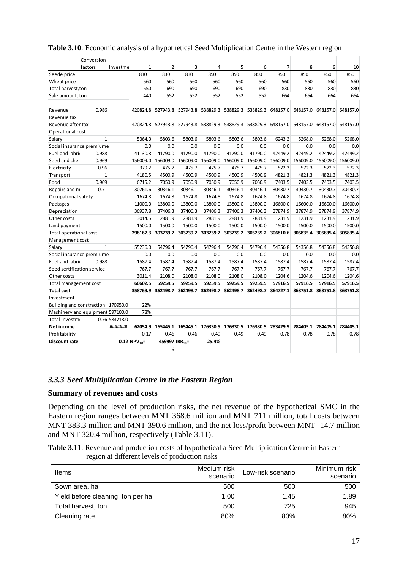|                                    | Conversion   |               |                   |                            |                   |          |                            |          |                |                                     |          |          |
|------------------------------------|--------------|---------------|-------------------|----------------------------|-------------------|----------|----------------------------|----------|----------------|-------------------------------------|----------|----------|
|                                    | factors      | Investme      | 1                 | $\overline{2}$             | 3                 | 4        | 5                          | 6        | $\overline{7}$ | 8                                   | 9        | 10       |
| Seede price                        |              |               | 830               | 830                        | 830               | 850      | 850                        | 850      | 850            | 850                                 | 850      | 850      |
| Wheat price                        |              |               | 560               | 560                        | 560               | 560      | 560                        | 560      | 560            | 560                                 | 560      | 560      |
| Total harvest, ton                 |              |               | 550               | 690                        | 690               | 690      | 690                        | 690      | 830            | 830                                 | 830      | 830      |
| Sale amount, ton                   |              |               | 440               | 552                        | 552               | 552      | 552                        | 552      | 664            | 664                                 | 664      | 664      |
|                                    |              |               |                   |                            |                   |          |                            |          |                |                                     |          |          |
| Revenue                            | 0.986        |               |                   | 420824.8 527943.8 527943.8 |                   |          | 538829.3 538829.3 538829.3 |          |                | 648157.0 648157.0 648157.0 648157.0 |          |          |
| Revenue tax                        |              |               |                   |                            |                   |          |                            |          |                |                                     |          |          |
| Revenue after tax                  |              |               |                   | 420824.8 527943.8 527943.8 |                   |          | 538829.3 538829.3 538829.3 |          |                | 648157.0 648157.0 648157.0 648157.0 |          |          |
| Operational cost                   |              |               |                   |                            |                   |          |                            |          |                |                                     |          |          |
| Salary                             | $\mathbf{1}$ |               | 5364.0            | 5803.6                     | 5803.6            | 5803.6   | 5803.6                     | 5803.6   | 6243.2         | 5268.0                              | 5268.0   | 5268.0   |
| Social insurance premiume          |              |               | 0.0               | 0.0                        | 0.0               | 0.0      | 0.0                        | 0.0      | 0.0            | 0.0                                 | 0.0      | 0.0      |
| Fuel and labri                     | 0.988        |               | 41130.8           | 41790.0                    | 41790.0           | 41790.0  | 41790.0                    | 41790.0  | 42449.2        | 42449.2                             | 42449.2  | 42449.2  |
| Seed and cher                      | 0.969        |               | 156009.0          | 156009.0                   | 156009.0          | 156009.0 | 156009.0                   | 156009.0 | 156009.0       | 156009.0                            | 156009.0 | 156009.0 |
| Electricity                        | 0.96         |               | 379.2             | 475.7                      | 475.7             | 475.7    | 475.7                      | 475.7    | 572.3          | 572.3                               | 572.3    | 572.3    |
| Transport                          | $\mathbf{1}$ |               | 4180.5            | 4500.9                     | 4500.9            | 4500.9   | 4500.9                     | 4500.9   | 4821.3         | 4821.3                              | 4821.3   | 4821.3   |
| Food                               | 0.969        |               | 6715.2            | 7050.9                     | 7050.9            | 7050.9   | 7050.9                     | 7050.9   | 7403.5         | 7403.5                              | 7403.5   | 7403.5   |
| Repairs and m                      | 0.71         |               | 30261.6           | 30346.1                    | 30346.1           | 30346.1  | 30346.1                    | 30346.1  | 30430.7        | 30430.7                             | 30430.7  | 30430.7  |
| Occupational safety                |              |               | 1674.8            | 1674.8                     | 1674.8            | 1674.8   | 1674.8                     | 1674.8   | 1674.8         | 1674.8                              | 1674.8   | 1674.8   |
| Packages                           |              |               | 11000.0           | 13800.0                    | 13800.0           | 13800.0  | 13800.0                    | 13800.0  | 16600.0        | 16600.0                             | 16600.0  | 16600.0  |
| Depreciation                       |              |               | 36937.8           | 37406.3                    | 37406.3           | 37406.3  | 37406.3                    | 37406.3  | 37874.9        | 37874.9                             | 37874.9  | 37874.9  |
| Other costs                        |              |               | 3014.5            | 2881.9                     | 2881.9            | 2881.9   | 2881.9                     | 2881.9   | 1231.9         | 1231.9                              | 1231.9   | 1231.9   |
| Land payment                       |              |               | 1500.0            | 1500.0                     | 1500.0            | 1500.0   | 1500.0                     | 1500.0   | 1500.0         | 1500.0                              | 1500.0   | 1500.0   |
| Total operational cost             |              |               | 298167.3          | 303239.2                   | 303239.2          | 303239.2 | 303239.2                   | 303239.2 | 306810.6       | 305835.4                            | 305835.4 | 305835.4 |
| Management cost                    |              |               |                   |                            |                   |          |                            |          |                |                                     |          |          |
| Salary                             | $\mathbf{1}$ |               | 55236.0           | 54796.4                    | 54796.4           | 54796.4  | 54796.4                    | 54796.4  | 54356.8        | 54356.8                             | 54356.8  | 54356.8  |
| Social insurance premiume          |              |               | 0.0               | 0.0                        | 0.0               | 0.0      | 0.0                        | 0.0      | 0.0            | 0.0                                 | 0.0      | 0.0      |
| Fuel and labri                     | 0.988        |               | 1587.4            | 1587.4                     | 1587.4            | 1587.4   | 1587.4                     | 1587.4   | 1587.4         | 1587.4                              | 1587.4   | 1587.4   |
| Seed sertification service         |              |               | 767.7             | 767.7                      | 767.7             | 767.7    | 767.7                      | 767.7    | 767.7          | 767.7                               | 767.7    | 767.7    |
| Other costs                        |              |               | 3011.4            | 2108.0                     | 2108.0            | 2108.0   | 2108.0                     | 2108.0   | 1204.6         | 1204.6                              | 1204.6   | 1204.6   |
| Total management cost              |              |               | 60602.5           | 59259.5                    | 59259.5           | 59259.5  | 59259.5                    | 59259.5  | 57916.5        | 57916.5                             | 57916.5  | 57916.5  |
| <b>Total cost</b>                  |              |               | 358769.9          | 362498.7                   | 362498.7          | 362498.7 | 362498.7                   | 362498.7 | 364727.1       | 363751.8                            | 363751.8 | 363751.8 |
| Investment                         |              |               |                   |                            |                   |          |                            |          |                |                                     |          |          |
| Building and constraction 170950.0 |              |               | 22%               |                            |                   |          |                            |          |                |                                     |          |          |
| Mashinery and equipment 597100.0   |              |               | 78%               |                            |                   |          |                            |          |                |                                     |          |          |
| Total investm                      |              | 0.76 583718.0 |                   |                            |                   |          |                            |          |                |                                     |          |          |
| Net income                         |              | #######       | 62054.9           |                            | 165445.1 165445.1 | 176330.5 | 176330.5                   | 176330.5 | 283429.9       | 284405.1                            | 284405.1 | 284405.1 |
| Profitability                      |              |               | 0.17              | 0.46                       | 0.46              | 0.49     | 0.49                       | 0.49     | 0.78           | 0.78                                | 0.78     | 0.78     |
| <b>Discount rate</b>               |              |               | 0.12 $NPV_{10}$ = | 459997 IRR <sub>10</sub> = |                   | 25.4%    |                            |          |                |                                     |          |          |
|                                    |              |               |                   | 6                          |                   |          |                            |          |                |                                     |          |          |

#### <span id="page-22-1"></span>**Table 3.10**: Economic analysis of a hypothetical Seed Multiplication Centre in the Western region

#### <span id="page-22-0"></span>*3.3.3 Seed Multiplication Centre in the Eastern Region*

#### **Summary of revenues and costs**

Depending on the level of production risks, the net revenue of the hypothetical SMC in the Eastern region ranges between MNT 368.6 million and MNT 711 million, total costs between MNT 383.3 million and MNT 390.6 million, and the net loss/profit between MNT -14.7 million and MNT 320.4 million, respectively (Table 3.11).

<span id="page-22-2"></span>**Table 3.11**: Revenue and production costs of hypothetical a Seed Multiplication Centre in Eastern region at different levels of production risks

| Items                             | Medium-risk<br>scenario | Low-risk scenario | Minimum-risk<br>scenario |
|-----------------------------------|-------------------------|-------------------|--------------------------|
| Sown area, ha                     | 500                     | 500               | 500                      |
| Yield before cleaning, ton per ha | 1.00                    | 1.45              | 1.89                     |
| Total harvest, ton                | 500                     | 725               | 945                      |
| Cleaning rate                     | 80%                     | 80%               | 80%                      |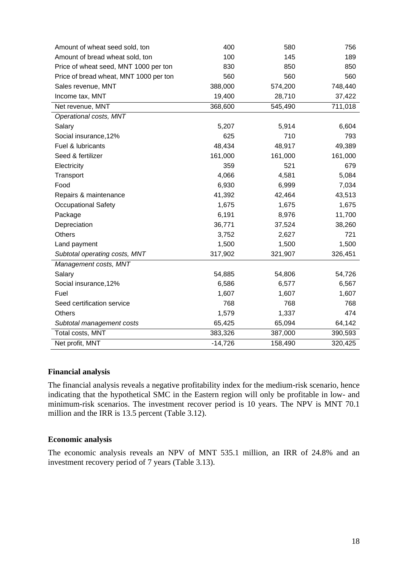| Amount of wheat seed sold, ton         | 400       | 580     | 756     |
|----------------------------------------|-----------|---------|---------|
| Amount of bread wheat sold, ton        | 100       | 145     | 189     |
| Price of wheat seed, MNT 1000 per ton  | 830       | 850     | 850     |
| Price of bread wheat, MNT 1000 per ton | 560       | 560     | 560     |
| Sales revenue, MNT                     | 388,000   | 574,200 | 748,440 |
| Income tax, MNT                        | 19,400    | 28,710  | 37,422  |
| Net revenue, MNT                       | 368,600   | 545,490 | 711,018 |
| Operational costs, MNT                 |           |         |         |
| Salary                                 | 5,207     | 5,914   | 6,604   |
| Social insurance, 12%                  | 625       | 710     | 793     |
| Fuel & lubricants                      | 48,434    | 48,917  | 49,389  |
| Seed & fertilizer                      | 161,000   | 161,000 | 161,000 |
| Electricity                            | 359       | 521     | 679     |
| Transport                              | 4,066     | 4,581   | 5,084   |
| Food                                   | 6,930     | 6,999   | 7,034   |
| Repairs & maintenance                  | 41,392    | 42,464  | 43,513  |
| <b>Occupational Safety</b>             | 1,675     | 1,675   | 1,675   |
| Package                                | 6,191     | 8,976   | 11,700  |
| Depreciation                           | 36,771    | 37,524  | 38,260  |
| <b>Others</b>                          | 3,752     | 2,627   | 721     |
| Land payment                           | 1,500     | 1,500   | 1,500   |
| Subtotal operating costs, MNT          | 317,902   | 321,907 | 326,451 |
| Management costs, MNT                  |           |         |         |
| Salary                                 | 54,885    | 54,806  | 54,726  |
| Social insurance, 12%                  | 6,586     | 6,577   | 6,567   |
| Fuel                                   | 1,607     | 1,607   | 1,607   |
| Seed certification service             | 768       | 768     | 768     |
| <b>Others</b>                          | 1,579     | 1,337   | 474     |
| Subtotal management costs              | 65,425    | 65,094  | 64,142  |
| Total costs, MNT                       | 383,326   | 387,000 | 390,593 |
| Net profit, MNT                        | $-14,726$ | 158,490 | 320,425 |

#### **Financial analysis**

The financial analysis reveals a negative profitability index for the medium-risk scenario, hence indicating that the hypothetical SMC in the Eastern region will only be profitable in low- and minimum-risk scenarios. The investment recover period is 10 years. The NPV is MNT 70.1 million and the IRR is 13.5 percent (Table 3.12).

#### **Economic analysis**

The economic analysis reveals an NPV of MNT 535.1 million, an IRR of 24.8% and an investment recovery period of 7 years (Table 3.13).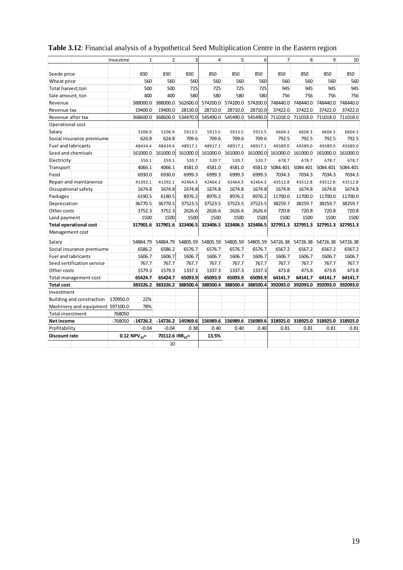|                                  | Investme  | $\mathbf{1}$       | $\overline{2}$              | 3        | $\overline{4}$ | 5        | 6        | $\overline{7}$ | 8                 | $\mathbf{q}$      | 10       |
|----------------------------------|-----------|--------------------|-----------------------------|----------|----------------|----------|----------|----------------|-------------------|-------------------|----------|
|                                  |           |                    |                             |          |                |          |          |                |                   |                   |          |
| Seede price                      |           | 830                | 830                         | 830      | 850            | 850      | 850      | 850            | 850               | 850               | 850      |
| Wheat price                      |           | 560                | 560                         | 560      | 560            | 560      | 560      | 560            | 560               | 560               | 560      |
| Total harvest, ton               |           | 500                | 500                         | 725      | 725            | 725      | 725      | 945            | 945               | 945               | 945      |
| Sale amount, ton                 |           | 400                | 400                         | 580      | 580            | 580      | 580      | 756            | 756               | 756               | 756      |
| Revenue                          |           | 388000.0           | 388000.0                    | 562600.0 | 574200.0       | 574200.0 | 574200.0 | 748440.0       | 748440.0          | 748440.0          | 748440.0 |
| Revenue tax                      |           | 19400.0            | 19400.0                     | 28130.0  | 28710.0        | 28710.0  | 28710.0  | 37422.0        | 37422.0           | 37422.0           | 37422.0  |
| Revenue after tax                |           | 368600.0           | 368600.0                    | 534470.0 | 545490.0       | 545490.0 | 545490.0 | 711018.0       | 711018.0          | 711018.0          | 711018.0 |
| Operational cost                 |           |                    |                             |          |                |          |          |                |                   |                   |          |
| Salary                           |           | 5206.9             | 5206.9                      | 5913.5   | 5913.5         | 5913.5   | 5913.5   | 6604.3         | 6604.3            | 6604.3            | 6604.3   |
| Social insurance premiume        |           | 624.8              | 624.8                       | 709.6    | 709.6          | 709.6    | 709.6    | 792.5          | 792.5             | 792.5             | 792.5    |
| <b>Fuel and labricants</b>       |           | 48434.4            | 48434.4                     | 48917.1  | 48917.1        | 48917.1  | 48917.1  | 49389.0        | 49389.0           | 49389.0           | 49389.0  |
| Seed and chemicals               |           | 161000.0           | 161000.0                    | 161000.0 | 161000.0       | 161000.0 | 161000.0 | 161000.0       | 161000.0          | 161000.0          | 161000.0 |
| Electricity                      |           | 359.1              | 359.1                       | 520.7    | 520.7          | 520.7    | 520.7    | 678.7          | 678.7             | 678.7             | 678.7    |
| Transport                        |           | 4066.1             | 4066.1                      | 4581.0   | 4581.0         | 4581.0   | 4581.0   | 5084.401       | 5084.401          | 5084.401          | 5084.401 |
| Food                             |           | 6930.0             | 6930.0                      | 6999.3   | 6999.3         | 6999.3   | 6999.3   | 7034.3         | 7034.3            | 7034.3            | 7034.3   |
| Repair and maintanence           |           | 41392.1            | 41392.1                     | 42464.3  | 42464.3        | 42464.3  | 42464.3  | 43512.8        | 43512.8           | 43512.8           | 43512.8  |
| Occupational safety              |           | 1674.8             | 1674.8                      | 1674.8   | 1674.8         | 1674.8   | 1674.8   | 1674.8         | 1674.8            | 1674.8            | 1674.8   |
| Packages                         |           | 6190.5             | 6190.5                      | 8976.2   | 8976.2         | 8976.2   | 8976.2   | 11700.0        | 11700.0           | 11700.0           | 11700.0  |
| Depreciation                     |           | 36770.5            | 36770.5                     | 37523.5  | 37523.5        | 37523.5  | 37523.5  | 38259.7        | 38259.7           | 38259.7           | 38259.7  |
| Other costs                      |           | 3752.3             | 3752.3                      | 2626.6   | 2626.6         | 2626.6   | 2626.6   | 720.8          | 720.8             | 720.8             | 720.8    |
| Land payment                     |           | 1500               | 1500                        | 1500     | 1500           | 1500     | 1500     | 1500           | 1500              | 1500              | 1500     |
| <b>Total operational cost</b>    |           | 317901.6           | 317901.6                    | 323406.5 | 323406.5       | 323406.5 | 323406.5 | 327951.3       | 327951.3          | 327951.3          | 327951.3 |
| Management cost                  |           |                    |                             |          |                |          |          |                |                   |                   |          |
| Salary                           |           | 54884.79           | 54884.79                    | 54805.59 | 54805.59       | 54805.59 | 54805.59 |                | 54726.38 54726.38 | 54726.38 54726.38 |          |
| Social insurance premiume        |           | 6586.2             | 6586.2                      | 6576.7   | 6576.7         | 6576.7   | 6576.7   | 6567.2         | 6567.2            | 6567.2            | 6567.2   |
| <b>Fuel and labricants</b>       |           | 1606.7             | 1606.7                      | 1606.7   | 1606.7         | 1606.7   | 1606.7   | 1606.7         | 1606.7            | 1606.7            | 1606.7   |
| Seed sertification service       |           | 767.7              | 767.7                       | 767.7    | 767.7          | 767.7    | 767.7    | 767.7          | 767.7             | 767.7             | 767.7    |
| Other costs                      |           | 1579.3             | 1579.3                      | 1337.3   | 1337.3         | 1337.3   | 1337.3   | 473.8          | 473.8             | 473.8             | 473.8    |
| Total management cost            |           | 65424.7            | 65424.7                     | 65093.9  | 65093.9        | 65093.9  | 65093.9  | 64141.7        | 64141.7           | 64141.7           | 64141.7  |
| Total cost                       |           | 383326.2           | 383326.2                    | 388500.4 | 388500.4       | 388500.4 | 388500.4 | 392093.0       | 392093.0          | 392093.0          | 392093.0 |
| Investment                       |           |                    |                             |          |                |          |          |                |                   |                   |          |
| Building and constraction        | 170950.0  | 22%                |                             |          |                |          |          |                |                   |                   |          |
| Mashinery and equipment 597100.0 |           | 78%                |                             |          |                |          |          |                |                   |                   |          |
| Total investment                 | 768050    |                    |                             |          |                |          |          |                |                   |                   |          |
| Net income                       | $-768050$ | $-14726.2$         | $-14726.2$                  | 145969.6 | 156989.6       | 156989.6 | 156989.6 | 318925.0       | 318925.0          | 318925.0          | 318925.0 |
| Profitability                    |           | $-0.04$            | $-0.04$                     | 0.38     | 0.40           | 0.40     | 0.40     | 0.81           | 0.81              | 0.81              | 0.81     |
| Discount rate                    |           | 0.12 NPV $_{10}$ = | 70112.6 IRR <sub>10</sub> = |          | 13.5%          |          |          |                |                   |                   |          |
|                                  |           |                    | 10                          |          |                |          |          |                |                   |                   |          |
|                                  |           |                    |                             |          |                |          |          |                |                   |                   |          |

### <span id="page-24-0"></span>**Table 3.12**: Financial analysis of a hypothetical Seed Multiplication Centre in the Eastern region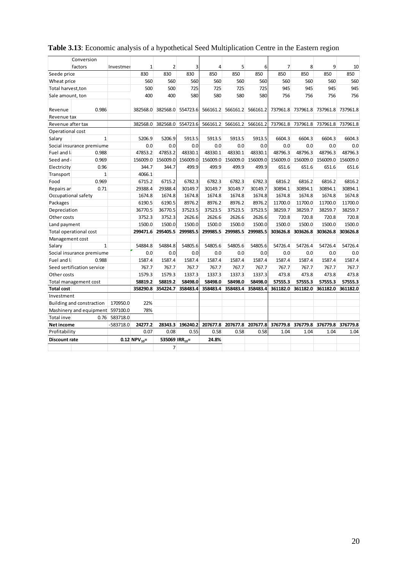|                      | Conversion                       |           |                    |                            |                  |                |                            |                   |                |          |                                     |          |
|----------------------|----------------------------------|-----------|--------------------|----------------------------|------------------|----------------|----------------------------|-------------------|----------------|----------|-------------------------------------|----------|
|                      | factors                          | Investmer | 1                  | $\overline{2}$             | 3                | $\overline{4}$ | 5                          | 6                 | $\overline{7}$ | 8        | 9                                   | 10       |
| Seede price          |                                  |           | 830                | 830                        | 830              | 850            | 850                        | 850               | 850            | 850      | 850                                 | 850      |
| Wheat price          |                                  |           | 560                | 560                        | 560              | 560            | 560                        | 560               | 560            | 560      | 560                                 | 560      |
| Total harvest, ton   |                                  |           | 500                | 500                        | 725              | 725            | 725                        | 725               | 945            | 945      | 945                                 | 945      |
| Sale amount, ton     |                                  |           | 400                | 400                        | 580              | 580            | 580                        | 580               | 756            | 756      | 756                                 | 756      |
|                      |                                  |           |                    |                            |                  |                |                            |                   |                |          |                                     |          |
| Revenue              | 0.986                            |           | 382568.0           | 382568.0                   | 554723.6         |                | 566161.2 566161.2 566161.2 |                   |                |          | 737961.8 737961.8 737961.8 737961.8 |          |
| Revenue tax          |                                  |           |                    |                            |                  |                |                            |                   |                |          |                                     |          |
| Revenue after tax    |                                  |           | 382568.0           | 382568.0                   | 554723.6         | 566161.2       |                            | 566161.2 566161.2 |                |          | 737961.8 737961.8 737961.8 737961.8 |          |
| Operational cost     |                                  |           |                    |                            |                  |                |                            |                   |                |          |                                     |          |
| Salary               | $\mathbf{1}$                     |           | 5206.9             | 5206.9                     | 5913.5           | 5913.5         | 5913.5                     | 5913.5            | 6604.3         | 6604.3   | 6604.3                              | 6604.3   |
|                      | Social insurance premiume        |           | 0.0                | 0.0                        | 0.0              | 0.0            | 0.0                        | 0.0               | 0.0            | 0.0      | 0.0                                 | 0.0      |
| Fuel and l           | 0.988                            |           | 47853.2            | 47853.2                    | 48330.1          | 48330.1        | 48330.1                    | 48330.1           | 48796.3        | 48796.3  | 48796.3                             | 48796.3  |
| Seed and             | 0.969                            |           | 156009.0           | 156009.0                   | 156009.0         | 156009.0       | 156009.0                   | 156009.0          | 156009.0       | 156009.0 | 156009.0                            | 156009.0 |
| Electricity          | 0.96                             |           | 344.7              | 344.7                      | 499.9            | 499.9          | 499.9                      | 499.9             | 651.6          | 651.6    | 651.6                               | 651.6    |
| Transport            | 1                                |           | 4066.1             |                            |                  |                |                            |                   |                |          |                                     |          |
| Food                 | 0.969                            |           | 6715.2             | 6715.2                     | 6782.3           | 6782.3         | 6782.3                     | 6782.3            | 6816.2         | 6816.2   | 6816.2                              | 6816.2   |
| Repairs ar           | 0.71                             |           | 29388.4            | 29388.4                    | 30149.7          | 30149.7        | 30149.7                    | 30149.7           | 30894.1        | 30894.1  | 30894.1                             | 30894.1  |
|                      | Occupational safety              |           | 1674.8             | 1674.8                     | 1674.8           | 1674.8         | 1674.8                     | 1674.8            | 1674.8         | 1674.8   | 1674.8                              | 1674.8   |
| Packages             |                                  |           | 6190.5             | 6190.5                     | 8976.2           | 8976.2         | 8976.2                     | 8976.2            | 11700.0        | 11700.0  | 11700.0                             | 11700.0  |
| Depreciation         |                                  |           | 36770.5            | 36770.5                    | 37523.5          | 37523.5        | 37523.5                    | 37523.5           | 38259.7        | 38259.7  | 38259.7                             | 38259.7  |
| Other costs          |                                  |           | 3752.3             | 3752.3                     | 2626.6           | 2626.6         | 2626.6                     | 2626.6            | 720.8          | 720.8    | 720.8                               | 720.8    |
| Land payment         |                                  |           | 1500.0             | 1500.0                     | 1500.0           | 1500.0         | 1500.0                     | 1500.0            | 1500.0         | 1500.0   | 1500.0                              | 1500.0   |
|                      | Total operational cost           |           | 299471.6           | 295405.5                   | 299985.5         | 299985.5       | 299985.5                   | 299985.5          | 303626.8       | 303626.8 | 303626.8                            | 303626.8 |
| Management cost      |                                  |           |                    |                            |                  |                |                            |                   |                |          |                                     |          |
| Salary               | 1                                |           | 54884.8            | 54884.8                    | 54805.6          | 54805.6        | 54805.6                    | 54805.6           | 54726.4        | 54726.4  | 54726.4                             | 54726.4  |
|                      | Social insurance premiume        |           | 0.0                | 0.0                        | 0.0              | 0.0            | 0.0                        | 0.0               | 0.0            | 0.0      | 0.0                                 | 0.0      |
| Fuel and l           | 0.988                            |           | 1587.4             | 1587.4                     | 1587.4           | 1587.4         | 1587.4                     | 1587.4            | 1587.4         | 1587.4   | 1587.4                              | 1587.4   |
|                      | Seed sertification service       |           | 767.7              | 767.7                      | 767.7            | 767.7          | 767.7                      | 767.7             | 767.7          | 767.7    | 767.7                               | 767.7    |
| Other costs          |                                  |           | 1579.3             | 1579.3                     | 1337.3           | 1337.3         | 1337.3                     | 1337.3            | 473.8          | 473.8    | 473.8                               | 473.8    |
|                      | Total management cost            |           | 58819.2            | 58819.2                    | 58498.0          | 58498.0        | 58498.0                    | 58498.0           | 57555.3        | 57555.3  | 57555.3                             | 57555.3  |
| <b>Total cost</b>    |                                  |           | 358290.8           | 354224.7                   | 358483.4         | 358483.4       | 358483.4                   | 358483.4          | 361182.0       | 361182.0 | 361182.0                            | 361182.0 |
| Investment           |                                  |           |                    |                            |                  |                |                            |                   |                |          |                                     |          |
|                      | Building and constraction        | 170950.0  | 22%                |                            |                  |                |                            |                   |                |          |                                     |          |
|                      | Mashinery and equipment 597100.0 |           | 78%                |                            |                  |                |                            |                   |                |          |                                     |          |
| Total inve           | 0.76                             | 583718.0  |                    |                            |                  |                |                            |                   |                |          |                                     |          |
| Net income           |                                  | -583718.0 | 24277.2            |                            | 28343.3 196240.2 | 207677.8       | 207677.8                   | 207677.8          | 376779.8       | 376779.8 | 376779.8                            | 376779.8 |
| Profitability        |                                  |           | 0.07               | 0.08                       | 0.55             | 0.58           | 0.58                       | 0.58              | 1.04           | 1.04     | 1.04                                | 1.04     |
| <b>Discount rate</b> |                                  |           | 0.12 NPV $_{10}$ = | 535069 IRR <sub>10</sub> = |                  | 24.8%          |                            |                   |                |          |                                     |          |
|                      |                                  |           |                    | $\overline{7}$             |                  |                |                            |                   |                |          |                                     |          |

### <span id="page-25-0"></span>**Table 3.13**: Economic analysis of a hypothetical Seed Multiplication Centre in the Eastern region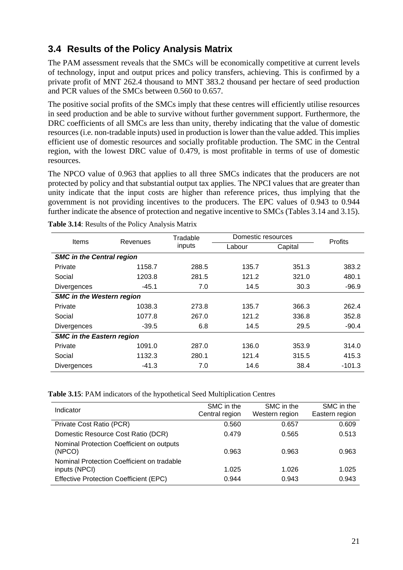## <span id="page-26-0"></span>**3.4 Results of the Policy Analysis Matrix**

The PAM assessment reveals that the SMCs will be economically competitive at current levels of technology, input and output prices and policy transfers, achieving. This is confirmed by a private profit of MNT 262.4 thousand to MNT 383.2 thousand per hectare of seed production and PCR values of the SMCs between 0.560 to 0.657.

The positive social profits of the SMCs imply that these centres will efficiently utilise resources in seed production and be able to survive without further government support. Furthermore, the DRC coefficients of all SMCs are less than unity, thereby indicating that the value of domestic resources (i.e. non-tradable inputs) used in production is lower than the value added. This implies efficient use of domestic resources and socially profitable production. The SMC in the Central region, with the lowest DRC value of 0.479, is most profitable in terms of use of domestic resources.

The NPCO value of 0.963 that applies to all three SMCs indicates that the producers are not protected by policy and that substantial output tax applies. The NPCI values that are greater than unity indicate that the input costs are higher than reference prices, thus implying that the government is not providing incentives to the producers. The EPC values of 0.943 to 0.944 further indicate the absence of protection and negative incentive to SMCs (Tables 3.14 and 3.15).

|                                  |          | Tradable | Domestic resources |         | Profits  |  |
|----------------------------------|----------|----------|--------------------|---------|----------|--|
| <b>Items</b>                     | Revenues | inputs   | Labour             | Capital |          |  |
| <b>SMC in the Central region</b> |          |          |                    |         |          |  |
| Private                          | 1158.7   | 288.5    | 135.7              | 351.3   | 383.2    |  |
| Social                           | 1203.8   | 281.5    | 121.2              | 321.0   | 480.1    |  |
| <b>Divergences</b>               | $-45.1$  | 7.0      | 14.5               | 30.3    | $-96.9$  |  |
| <b>SMC in the Western region</b> |          |          |                    |         |          |  |
| Private                          | 1038.3   | 273.8    | 135.7              | 366.3   | 262.4    |  |
| Social                           | 1077.8   | 267.0    | 121.2              | 336.8   | 352.8    |  |
| <b>Divergences</b>               | $-39.5$  | 6.8      | 14.5               | 29.5    | $-90.4$  |  |
| <b>SMC in the Eastern region</b> |          |          |                    |         |          |  |
| Private                          | 1091.0   | 287.0    | 136.0              | 353.9   | 314.0    |  |
| Social                           | 1132.3   | 280.1    | 121.4              | 315.5   | 415.3    |  |
| <b>Divergences</b>               | $-41.3$  | 7.0      | 14.6               | 38.4    | $-101.3$ |  |

<span id="page-26-1"></span>**Table 3.14**: Results of the Policy Analysis Matrix

<span id="page-26-2"></span>**Table 3.15**: PAM indicators of the hypothetical Seed Multiplication Centres

| Indicator                                                   | SMC in the<br>Central region | SMC in the<br>Western region | SMC in the<br>Eastern region |
|-------------------------------------------------------------|------------------------------|------------------------------|------------------------------|
| Private Cost Ratio (PCR)                                    | 0.560                        | 0.657                        | 0.609                        |
| Domestic Resource Cost Ratio (DCR)                          | 0.479                        | 0.565                        | 0.513                        |
| Nominal Protection Coefficient on outputs<br>(NPCO)         | 0.963                        | 0.963                        | 0.963                        |
| Nominal Protection Coefficient on tradable<br>inputs (NPCI) | 1.025                        | 1.026                        | 1.025                        |
| <b>Effective Protection Coefficient (EPC)</b>               | 0.944                        | 0.943                        | 0.943                        |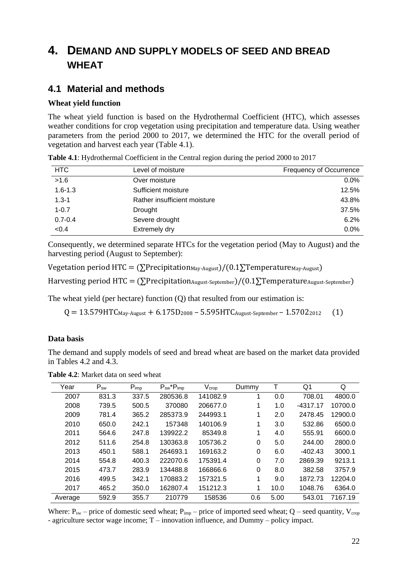## <span id="page-27-0"></span>**4. DEMAND AND SUPPLY MODELS OF SEED AND BREAD WHEAT**

### <span id="page-27-1"></span>**4.1 Material and methods**

#### **Wheat yield function**

The wheat yield function is based on the Hydrothermal Coefficient (HTC), which assesses weather conditions for crop vegetation using precipitation and temperature data. Using weather parameters from the period 2000 to 2017, we determined the HTC for the overall period of vegetation and harvest each year (Table 4.1).

| <b>HTC</b>  | Level of moisture            | <b>Frequency of Occurrence</b> |
|-------------|------------------------------|--------------------------------|
| >1.6        | Over moisture                | $0.0\%$                        |
| $1.6 - 1.3$ | Sufficient moisture          | 12.5%                          |
| $1.3 - 1$   | Rather insufficient moisture | 43.8%                          |
| $1 - 0.7$   | Drought                      | 37.5%                          |
| $0.7 - 0.4$ | Severe drought               | 6.2%                           |
| < 0.4       | Extremely dry                | 0.0%                           |

<span id="page-27-2"></span>**Table 4.1**: Hydrothermal Coefficient in the Central region during the period 2000 to 2017

Consequently, we determined separate HTCs for the vegetation period (May to August) and the harvesting period (August to September):

Vegetation period HTC =  $(\sum$ Precipitation<sub>May-August</sub> $)/(0.1\Sigma$ Temperature<sub>May-August</sub> $)$ 

Harvesting period HTC =  $(\sum$ Precipitation<sub>August-September</sub>)/(0.1 $\Sigma$ Temperature<sub>August-September</sub>)

The wheat yield (per hectare) function (Q) that resulted from our estimation is:

 $Q = 13.579$ HTC $_{\text{May-August}} + 6.175D_{2008} - 5.595$ HTC $_{\text{August-September}} - 1.5702_{2012}$  (1)

#### **Data basis**

The demand and supply models of seed and bread wheat are based on the market data provided in Tables 4.2 and 4.3.

<span id="page-27-3"></span>**Table 4.2**: Market data on seed wheat

| Year    | $P_{sw}$ | $P_{\text{imp}}$ | $P_{sw}$ * $P_{imp}$ | $V_{\rm crop}$ | Dummy |      | Q1         | Q       |
|---------|----------|------------------|----------------------|----------------|-------|------|------------|---------|
| 2007    | 831.3    | 337.5            | 280536.8             | 141082.9       | 1     | 0.0  | 708.01     | 4800.0  |
| 2008    | 739.5    | 500.5            | 370080               | 206677.0       | 1     | 1.0  | $-4317.17$ | 10700.0 |
| 2009    | 781.4    | 365.2            | 285373.9             | 244993.1       | 1     | 2.0  | 2478.45    | 12900.0 |
| 2010    | 650.0    | 242.1            | 157348               | 140106.9       | 1     | 3.0  | 532.86     | 6500.0  |
| 2011    | 564.6    | 247.8            | 139922.2             | 85349.8        | 1     | 4.0  | 555.91     | 6600.0  |
| 2012    | 511.6    | 254.8            | 130363.8             | 105736.2       | 0     | 5.0  | 244.00     | 2800.0  |
| 2013    | 450.1    | 588.1            | 264693.1             | 169163.2       | 0     | 6.0  | $-402.43$  | 3000.1  |
| 2014    | 554.8    | 400.3            | 222070.6             | 175391.4       | 0     | 7.0  | 2869.39    | 9213.1  |
| 2015    | 473.7    | 283.9            | 134488.8             | 166866.6       | 0     | 8.0  | 382.58     | 3757.9  |
| 2016    | 499.5    | 342.1            | 170883.2             | 157321.5       | 1     | 9.0  | 1872.73    | 12204.0 |
| 2017    | 465.2    | 350.0            | 162807.4             | 151212.3       | 1     | 10.0 | 1048.76    | 6364.0  |
| Average | 592.9    | 355.7            | 210779               | 158536         | 0.6   | 5.00 | 543.01     | 7167.19 |

Where:  $P_{sw}$  – price of domestic seed wheat;  $P_{imp}$  – price of imported seed wheat; Q – seed quantity,  $V_{crop}$ - agriculture sector wage income; T – innovation influence, and Dummy – policy impact.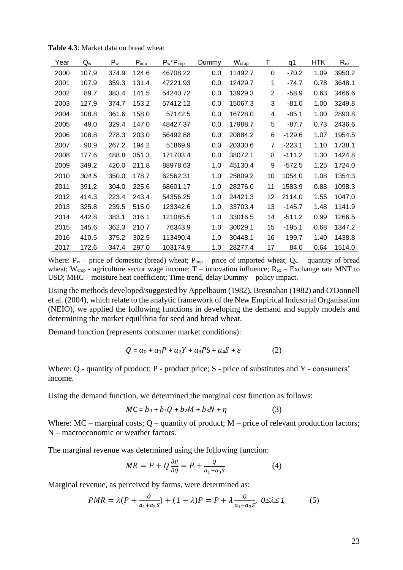| Year | $Q_w$ | $P_w$ | $P_{\text{imp}}$ | $P_w*P_{imp}$ | Dummy | Wcrop   | Τ  | q1       | HTK  | $R_{ex}$ |
|------|-------|-------|------------------|---------------|-------|---------|----|----------|------|----------|
| 2000 | 107.9 | 374.9 | 124.6            | 46708.22      | 0.0   | 11492.7 | 0  | $-70.2$  | 1.09 | 3950.2   |
| 2001 | 107.9 | 359.3 | 131.4            | 47221.93      | 0.0   | 12429.7 | 1  | $-74.7$  | 0.78 | 3648.1   |
| 2002 | 89.7  | 383.4 | 141.5            | 54240.72      | 0.0   | 13929.3 | 2  | $-58.9$  | 0.63 | 3466.6   |
| 2003 | 127.9 | 374.7 | 153.2            | 57412.12      | 0.0   | 15067.3 | 3  | $-81.0$  | 1.00 | 3249.8   |
| 2004 | 108.8 | 361.6 | 158.0            | 57142.5       | 0.0   | 16728.0 | 4  | $-85.1$  | 1.00 | 2890.8   |
| 2005 | 49.0  | 329.4 | 147.0            | 48427.37      | 0.0   | 17988.7 | 5  | $-87.7$  | 0.73 | 2436.6   |
| 2006 | 108.8 | 278.3 | 203.0            | 56492.88      | 0.0   | 20884.2 | 6  | $-129.6$ | 1.07 | 1954.5   |
| 2007 | 90.9  | 267.2 | 194.2            | 51869.9       | 0.0   | 20330.6 | 7  | $-223.1$ | 1.10 | 1738.1   |
| 2008 | 177.6 | 488.8 | 351.3            | 171703.4      | 0.0   | 38072.1 | 8  | $-111.2$ | 1.30 | 1424.8   |
| 2009 | 349.2 | 420.0 | 211.8            | 88978.63      | 1.0   | 45130.4 | 9  | $-572.5$ | 1.25 | 1724.0   |
| 2010 | 304.5 | 350.0 | 178.7            | 62562.31      | 1.0   | 25809.2 | 10 | 1054.0   | 1.08 | 1354.3   |
| 2011 | 391.2 | 304.0 | 225.6            | 68601.17      | 1.0   | 28276.0 | 11 | 1583.9   | 0.88 | 1098.3   |
| 2012 | 414.3 | 223.4 | 243.4            | 54356.25      | 1.0   | 24421.3 | 12 | 2114.0   | 1.55 | 1047.0   |
| 2013 | 325.8 | 239.5 | 515.0            | 123342.6      | 1.0   | 33703.4 | 13 | $-145.7$ | 1.48 | 1141.9   |
| 2014 | 442.8 | 383.1 | 316.1            | 121085.5      | 1.0   | 33016.5 | 14 | $-511.2$ | 0.99 | 1266.5   |
| 2015 | 145.6 | 362.3 | 210.7            | 76343.9       | 1.0   | 30029.1 | 15 | $-195.1$ | 0.68 | 1347.2   |
| 2016 | 410.5 | 375.2 | 302.5            | 113490.4      | 1.0   | 30448.1 | 16 | 199.7    | 1.40 | 1438.8   |
| 2017 | 172.6 | 347.4 | 297.0            | 103174.9      | 1.0   | 28277.4 | 17 | 84.0     | 0.64 | 1514.0   |

<span id="page-28-0"></span>**Table 4.3**: Market data on bread wheat

Where:  $P_w$  – price of domestic (bread) wheat;  $P_{imp}$  – price of imported wheat;  $Q_w$  – quantity of bread wheat;  $W_{crop}$  - agriculture sector wage income;  $T -$  innovation influence;  $R_{ex} -$  Exchange rate MNT to USD; MHC – moisture heat coefficient; Time trend, delay Dummy – policy impact.

Using the methods developed/suggested by Appelbaum (1982), Bresnahan (1982) and O'Donnell et al. (2004), which relate to the analytic framework of the New Empirical Industrial Organisation (NEIO), we applied the following functions in developing the demand and supply models and determining the market equilibria for seed and bread wheat.

Demand function (represents consumer market conditions):

$$
Q = a_0 + a_1 P + a_2 Y + a_3 P S + a_4 S + \varepsilon \tag{2}
$$

Where: Q - quantity of product; P - product price; S - price of substitutes and Y - consumers' income.

Using the demand function, we determined the marginal cost function as follows:

$$
MC = b_0 + b_1Q + b_2M + b_3N + \eta
$$
 (3)

Where:  $MC$  – marginal costs; Q – quantity of product;  $M$  – price of relevant production factors; N – macroeconomic or weather factors.

The marginal revenue was determined using the following function:

$$
MR = P + Q\frac{\partial P}{\partial Q} = P + \frac{Q}{a_1 + a_3 S} \tag{4}
$$

Marginal revenue, as perceived by farms, were determined as:

$$
PMR = \lambda (P + \frac{Q}{a_1 + a_3 S}) + (1 - \lambda)P = P + \lambda \frac{Q}{a_1 + a_3 S}, \quad 0 \le \lambda \le 1
$$
 (5)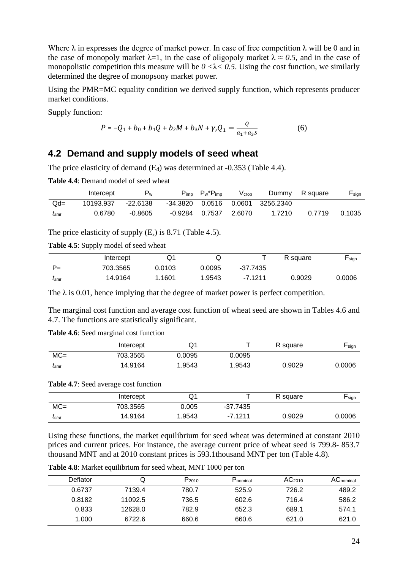Where  $\lambda$  in expresses the degree of market power. In case of free competition  $\lambda$  will be 0 and in the case of monopoly market  $\lambda = 1$ , in the case of oligopoly market  $\lambda \approx 0.5$ , and in the case of monopolistic competition this measure will be  $0 < \lambda < 0.5$ . Using the cost function, we similarly determined the degree of monopsony market power.

Using the PMR=MC equality condition we derived supply function, which represents producer market conditions.

Supply function:

$$
P = -Q_1 + b_0 + b_1 Q + b_2 M + b_3 N + \gamma Q_1 = \frac{Q}{a_1 + a_3 S}
$$
 (6)

#### <span id="page-29-0"></span>**4.2 Demand and supply models of seed wheat**

The price elasticity of demand (Ed) was determined at -0.353 (Table 4.4).

<span id="page-29-1"></span>**Table 4.4**: Demand model of seed wheat

|                | Intercept | Pw         | $P_{\text{imp}}$ | $P_w^*P_{\text{imp}}$ | V crop | Dummy            | R square | $\mathsf{F}_{\mathsf{sign}}$ |
|----------------|-----------|------------|------------------|-----------------------|--------|------------------|----------|------------------------------|
| $Qd=$          | 10193.937 | $-22.6138$ | -34.3820         | 0.0516                |        | 0.0601 3256.2340 |          |                              |
| $t_{\rm stat}$ | 0.6780    | $-0.8605$  | -0.9284          | 0.7537                | 2.6070 | 1.7210           | 0.7719   | 0.1035                       |

The price elasticity of supply  $(E_s)$  is 8.71 (Table 4.5).

<span id="page-29-2"></span>**Table 4.5**: Supply model of seed wheat

|                                         | Intercept | Q1     | ◡      |            | R square | $\mathsf{L}_{\mathsf{sign}}$ |
|-----------------------------------------|-----------|--------|--------|------------|----------|------------------------------|
| P=                                      | 703.3565  | 0.0103 | 0.0095 | $-37.7435$ |          |                              |
| $\boldsymbol{\mathit{I}}_{\text{stat}}$ | 14.9164   | 1.1601 | 1.9543 | $-7.1211$  | 0.9029   | 0.0006                       |

The  $\lambda$  is 0.01, hence implying that the degree of market power is perfect competition.

The marginal cost function and average cost function of wheat seed are shown in Tables 4.6 and 4.7. The functions are statistically significant.

<span id="page-29-3"></span>**Table 4.6**: Seed marginal cost function

|                                | Intercept | Q'     |        | R square | $\mathsf{F}$ sign |
|--------------------------------|-----------|--------|--------|----------|-------------------|
| $MC =$                         | 703.3565  | 0.0095 | 0.0095 |          |                   |
| $\boldsymbol{\mathit{I}}$ stat | 14.9164   | 1.9543 | 1.9543 | 0.9029   | 0.0006            |

<span id="page-29-4"></span>**Table 4.7**: Seed average cost function

|                | Intercept | Ő.     |            | R square | $\blacksquare$ sign |
|----------------|-----------|--------|------------|----------|---------------------|
| $MC =$         | 703.3565  | 0.005  | $-37.7435$ |          |                     |
| $t_{\rm stat}$ | 14.9164   | 1.9543 | -7.1211    | 0.9029   | 0.0006              |

Using these functions, the market equilibrium for seed wheat was determined at constant 2010 prices and current prices. For instance, the average current price of wheat seed is 799.8- 853.7 thousand MNT and at 2010 constant prices is 593.1thousand MNT per ton (Table 4.8).

<span id="page-29-5"></span>

|  | <b>Table 4.8:</b> Market equilibrium for seed wheat, MNT 1000 per ton |
|--|-----------------------------------------------------------------------|
|--|-----------------------------------------------------------------------|

| Deflator | Q       | P <sub>2010</sub> | P <sub>nominal</sub> | AC <sub>2010</sub> | $AC_{nominal}$ |
|----------|---------|-------------------|----------------------|--------------------|----------------|
| 0.6737   | 7139.4  | 780.7             | 525.9                | 726.2              | 489.2          |
| 0.8182   | 11092.5 | 736.5             | 602.6                | 716.4              | 586.2          |
| 0.833    | 12628.0 | 782.9             | 652.3                | 689.1              | 574.1          |
| 1.000    | 6722.6  | 660.6             | 660.6                | 621.0              | 621.0          |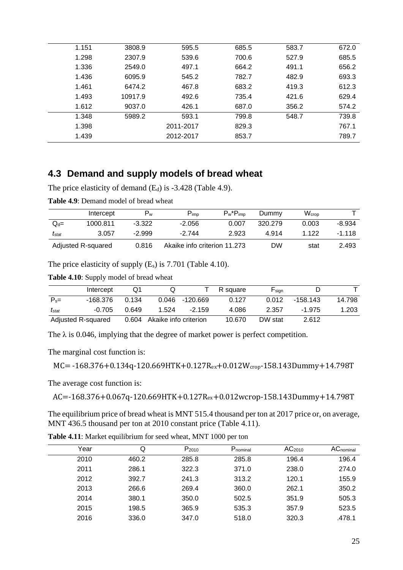| 1.151 | 3808.9  | 595.5     | 685.5 | 583.7 | 672.0 |
|-------|---------|-----------|-------|-------|-------|
| 1.298 | 2307.9  | 539.6     | 700.6 | 527.9 | 685.5 |
| 1.336 | 2549.0  | 497.1     | 664.2 | 491.1 | 656.2 |
| 1.436 | 6095.9  | 545.2     | 782.7 | 482.9 | 693.3 |
| 1.461 | 6474.2  | 467.8     | 683.2 | 419.3 | 612.3 |
| 1.493 | 10917.9 | 492.6     | 735.4 | 421.6 | 629.4 |
| 1.612 | 9037.0  | 426.1     | 687.0 | 356.2 | 574.2 |
| 1.348 | 5989.2  | 593.1     | 799.8 | 548.7 | 739.8 |
| 1.398 |         | 2011-2017 | 829.3 |       | 767.1 |
| 1.439 |         | 2012-2017 | 853.7 |       | 789.7 |
|       |         |           |       |       |       |

### <span id="page-30-0"></span>**4.3 Demand and supply models of bread wheat**

The price elasticity of demand (E<sub>d</sub>) is -3.428 (Table 4.9).

<span id="page-30-1"></span>**Table 4.9**: Demand model of bread wheat

|                | Intercept          | Pw       | $P_{\text{imp}}$             | $P_w*P_{\text{imp}}$ | Dummy   | Wcrop |        |
|----------------|--------------------|----------|------------------------------|----------------------|---------|-------|--------|
| $=$            | 1000.811           | $-3.322$ | $-2.056$                     | 0.007                | 320.279 | 0.003 | -8.934 |
| $t_{\rm stat}$ | 3.057              | $-2.999$ | $-2.744$                     | 2.923                | 4 914   | 1 122 | -1 118 |
|                | Adjusted R-squared | 0.816    | Akaike info criterion 11.273 |                      | DW      | stat  | 2.493  |

The price elasticity of supply  $(E_s)$  is 7.701 (Table 4.10).

<span id="page-30-2"></span>**Table 4.10**: Supply model of bread wheat

|                   | Intercept          | Q1    |                             |                   | R square | F <sub>sign</sub> |          |        |
|-------------------|--------------------|-------|-----------------------------|-------------------|----------|-------------------|----------|--------|
| $P_{s}$ =         | -168.376           | 0.134 |                             | $0.046 - 120.669$ | 0.127    | 0.012             | -158.143 | 14.798 |
| $t_{\text{stat}}$ | $-0.705$           | 0.649 | 1.524                       | $-2.159$          | 4.086    | 2.357             | -1.975   | 1.203  |
|                   | Adjusted R-squared |       | 0.604 Akaike info criterion |                   | 10.670   | DW stat           | 2.612    |        |

The  $\lambda$  is 0.046, implying that the degree of market power is perfect competition.

The marginal cost function is:

```
MC= -168.376+0.134q-120.669HTK+0.127Rex+0.012Wcrop-158.143Dummy+14.798T
```
The average cost function is:

AC=-168.376+0.067q-120.669HTK+0.127Rex+0.012wcrop-158.143Dummy+14.798T

The equilibrium price of bread wheat is MNT 515.4 thousand per ton at 2017 price or, on average, MNT 436.5 thousand per ton at 2010 constant price (Table 4.11).

| Year | Q     | $P_{2010}$ | P <sub>nominal</sub> | AC <sub>2010</sub> | <b>AC</b> <sub>nominal</sub> |
|------|-------|------------|----------------------|--------------------|------------------------------|
| 2010 | 460.2 | 285.8      | 285.8                | 196.4              | 196.4                        |
| 2011 | 286.1 | 322.3      | 371.0                | 238.0              | 274.0                        |
| 2012 | 392.7 | 241.3      | 313.2                | 120.1              | 155.9                        |
| 2013 | 266.6 | 269.4      | 360.0                | 262.1              | 350.2                        |
| 2014 | 380.1 | 350.0      | 502.5                | 351.9              | 505.3                        |
| 2015 | 198.5 | 365.9      | 535.3                | 357.9              | 523.5                        |
| 2016 | 336.0 | 347.0      | 518.0                | 320.3              | .478.1                       |

<span id="page-30-3"></span>**Table 4.11**: Market equilibrium for seed wheat, MNT 1000 per ton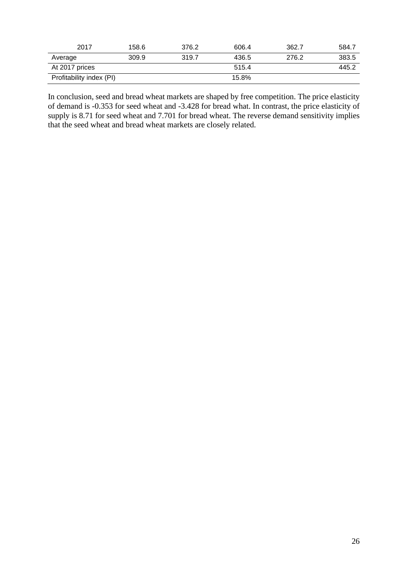| 2017                     | 158.6 | 376.2 | 606.4 | 362.7 | 584.7 |
|--------------------------|-------|-------|-------|-------|-------|
| Average                  | 309.9 | 319.7 | 436.5 | 276.2 | 383.5 |
| At 2017 prices           |       |       | 515.4 |       | 445.2 |
| Profitability index (PI) |       |       | 15.8% |       |       |

In conclusion, seed and bread wheat markets are shaped by free competition. The price elasticity of demand is -0.353 for seed wheat and -3.428 for bread what. In contrast, the price elasticity of supply is 8.71 for seed wheat and 7.701 for bread wheat. The reverse demand sensitivity implies that the seed wheat and bread wheat markets are closely related.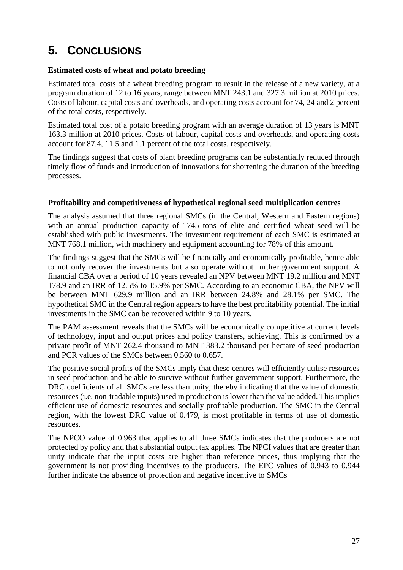## <span id="page-32-0"></span>**5. CONCLUSIONS**

#### **Estimated costs of wheat and potato breeding**

Estimated total costs of a wheat breeding program to result in the release of a new variety, at a program duration of 12 to 16 years, range between MNT 243.1 and 327.3 million at 2010 prices. Costs of labour, capital costs and overheads, and operating costs account for 74, 24 and 2 percent of the total costs, respectively.

Estimated total cost of a potato breeding program with an average duration of 13 years is MNT 163.3 million at 2010 prices. Costs of labour, capital costs and overheads, and operating costs account for 87.4, 11.5 and 1.1 percent of the total costs, respectively.

The findings suggest that costs of plant breeding programs can be substantially reduced through timely flow of funds and introduction of innovations for shortening the duration of the breeding processes.

#### **Profitability and competitiveness of hypothetical regional seed multiplication centres**

The analysis assumed that three regional SMCs (in the Central, Western and Eastern regions) with an annual production capacity of 1745 tons of elite and certified wheat seed will be established with public investments. The investment requirement of each SMC is estimated at MNT 768.1 million, with machinery and equipment accounting for 78% of this amount.

The findings suggest that the SMCs will be financially and economically profitable, hence able to not only recover the investments but also operate without further government support. A financial CBA over a period of 10 years revealed an NPV between MNT 19.2 million and MNT 178.9 and an IRR of 12.5% to 15.9% per SMC. According to an economic CBA, the NPV will be between MNT 629.9 million and an IRR between 24.8% and 28.1% per SMC. The hypothetical SMC in the Central region appears to have the best profitability potential. The initial investments in the SMC can be recovered within 9 to 10 years.

The PAM assessment reveals that the SMCs will be economically competitive at current levels of technology, input and output prices and policy transfers, achieving. This is confirmed by a private profit of MNT 262.4 thousand to MNT 383.2 thousand per hectare of seed production and PCR values of the SMCs between 0.560 to 0.657.

The positive social profits of the SMCs imply that these centres will efficiently utilise resources in seed production and be able to survive without further government support. Furthermore, the DRC coefficients of all SMCs are less than unity, thereby indicating that the value of domestic resources (i.e. non-tradable inputs) used in production is lower than the value added. This implies efficient use of domestic resources and socially profitable production. The SMC in the Central region, with the lowest DRC value of 0.479, is most profitable in terms of use of domestic resources.

The NPCO value of 0.963 that applies to all three SMCs indicates that the producers are not protected by policy and that substantial output tax applies. The NPCI values that are greater than unity indicate that the input costs are higher than reference prices, thus implying that the government is not providing incentives to the producers. The EPC values of 0.943 to 0.944 further indicate the absence of protection and negative incentive to SMCs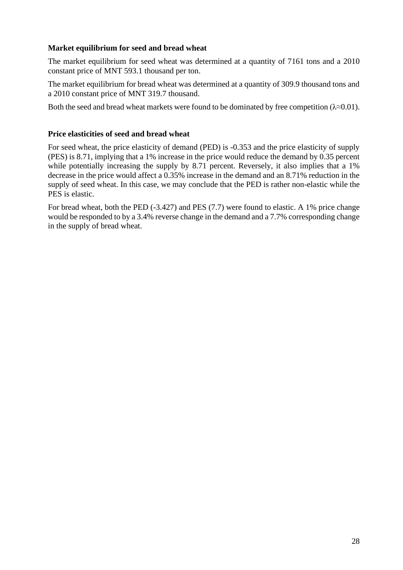#### **Market equilibrium for seed and bread wheat**

The market equilibrium for seed wheat was determined at a quantity of 7161 tons and a 2010 constant price of MNT 593.1 thousand per ton.

The market equilibrium for bread wheat was determined at a quantity of 309.9 thousand tons and a 2010 constant price of MNT 319.7 thousand.

Both the seed and bread wheat markets were found to be dominated by free competition ( $\lambda \approx 0.01$ ).

#### **Price elasticities of seed and bread wheat**

For seed wheat, the price elasticity of demand (PED) is -0.353 and the price elasticity of supply (PES) is 8.71, implying that a 1% increase in the price would reduce the demand by 0.35 percent while potentially increasing the supply by 8.71 percent. Reversely, it also implies that a 1% decrease in the price would affect a 0.35% increase in the demand and an 8.71% reduction in the supply of seed wheat. In this case, we may conclude that the PED is rather non-elastic while the PES is elastic.

For bread wheat, both the PED (-3.427) and PES (7.7) were found to elastic. A 1% price change would be responded to by a 3.4% reverse change in the demand and a 7.7% corresponding change in the supply of bread wheat.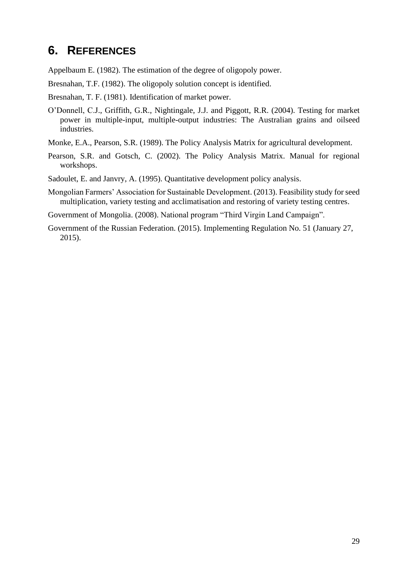## <span id="page-34-0"></span>**6. REFERENCES**

Appelbaum E. (1982). The estimation of the degree of oligopoly power.

Bresnahan, T.F. (1982). The oligopoly solution concept is identified.

Bresnahan, T. F. (1981). Identification of market power.

- O'Donnell, C.J., Griffith, G.R., Nightingale, J.J. and Piggott, R.R. (2004). Testing for market power in multiple-input, multiple-output industries: The Australian grains and oilseed industries.
- Monke, E.A., Pearson, S.R. (1989). The Policy Analysis Matrix for agricultural development.
- Pearson, S.R. and Gotsch, C. (2002). The Policy Analysis Matrix. Manual for regional workshops.
- Sadoulet, E. and Janvry, A. (1995). Quantitative development policy analysis.
- Mongolian Farmers' Association for Sustainable Development. (2013). Feasibility study for seed multiplication, variety testing and acclimatisation and restoring of variety testing centres.

Government of Mongolia. (2008). National program "Third Virgin Land Campaign".

Government of the Russian Federation. (2015). Implementing Regulation No. 51 (January 27, 2015).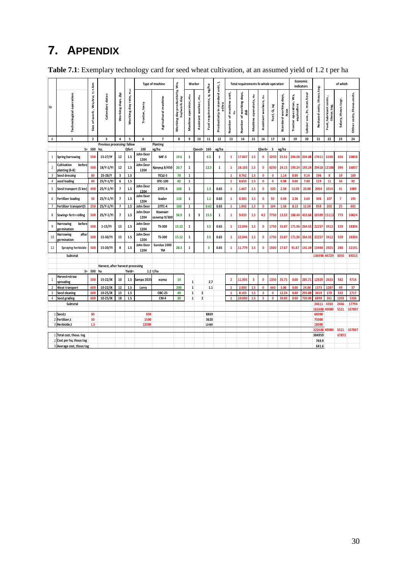## <span id="page-35-0"></span>**7. APPENDIX**

|                  | <b>Table 7.1.</b> Exemplary technology card for seed wheat cultivation, at an assumed yield of 1.2 t per ha |                                  |                                   |                          |                       |                          |                           |                                              |                                  |                      |                             |                                   |                              |                                       |                                   |                         |              |                        |                                      |                          |                           |                                      |                     |                           |
|------------------|-------------------------------------------------------------------------------------------------------------|----------------------------------|-----------------------------------|--------------------------|-----------------------|--------------------------|---------------------------|----------------------------------------------|----------------------------------|----------------------|-----------------------------|-----------------------------------|------------------------------|---------------------------------------|-----------------------------------|-------------------------|--------------|------------------------|--------------------------------------|--------------------------|---------------------------|--------------------------------------|---------------------|---------------------------|
|                  |                                                                                                             |                                  |                                   |                          |                       |                          | Type of mashine           |                                              | Worker                           |                      |                             | unit, I,                          |                              | Total requirements fo whole operation |                                   |                         |              |                        |                                      | Economic<br>indicators   |                           |                                      | of which            |                           |
| N <sub>2</sub>   | Technological operation                                                                                     | of work, Wo,hra; 1; 1.km<br>Size | Calendars dates                   | Working days, Ap         | Norking day rate, now | Tractor, lorry           | Agricultural mashine      | Working day productivity, WH,<br>ha/work day | Mashine operator, m <sub>m</sub> | Assistant worker, m. | Fuel requirements, q, kg/ha | Productivity in standard<br>ethra | Number of mashine unit,<br>å | Number of working days,<br>੍ਰੈ        | Mashine operatots, n <sub>m</sub> | Assistant workers, no   | Fuel, Q, Kg  | Standard working days, | Tractor operation, Wa,<br>equivalhra | Labour use, 3r, man.hour | Reduced costs, thous.tog. | Fuel, lubricant costs,<br>thous.tog. | Salary, thous.togr. | Other costs, thous.costs. |
| $\boldsymbol{A}$ | $\mathbf 1$                                                                                                 | $\overline{2}$                   | 3                                 | 4                        | 5                     | 6                        | $\overline{\phantom{a}}$  | 8                                            | 9                                | 10                   | 11                          | $12\,$                            | 13                           | 14                                    | 15                                | 16                      | $17\,$       | 18                     | 19                                   | 20                       | 21                        | 22                                   | 23                  | 24                        |
|                  | Previous processing: fallow<br>Planting                                                                     |                                  |                                   |                          |                       |                          |                           |                                              |                                  |                      |                             |                                   |                              |                                       |                                   |                         |              |                        |                                      |                          |                           |                                      |                     |                           |
|                  | $S = 500$<br>ha:<br>100<br>Qfert                                                                            |                                  | кg/ha                             |                          |                       | $Oseed =$                | 160                       | кg/ha                                        |                                  |                      |                             | Qherb=                            | $\overline{\mathbf{3}}$      | кg/ha                                 |                                   |                         |              |                        |                                      |                          |                           |                                      |                     |                           |
| 1                | <b>Spring harrowing</b>                                                                                     | 500                              | 15-27/IY                          | 12                       | 1.5                   | John Deer<br>1204        | БИГ-3                     | 19.6                                         | $\mathbf 1$                      |                      | 6.5                         | 1                                 | 1                            | 17.007                                | 1.5                               | $\mathbf{0}$            | 3250         | 25.51                  | 204.08                               | 204.08                   | 17611                     | 6338                                 | 416                 | 10858                     |
| $\overline{2}$   | before<br>Cultivation<br>planting (6-8)                                                                     | 500                              | 18/Y-1/YI                         | 12                       | 1.5                   | <b>John Deer</b><br>1204 | Кроунд 8/450              | 20.7                                         | $\mathbf 1$                      |                      | 12.5                        | $\mathbf 1$                       | 1                            | 16.103                                | 1.5                               | $\mathbf{0}$            | 6250         | 24.15                  | 193.24                               | 193.24                   | 29418                     | 12188                                | 394                 | 16837                     |
| 3                | Seed dressing                                                                                               | 80                               | 25-28/Y                           | 3                        | 1.5                   |                          | <b>ПСШ-5</b>              | 70                                           | $\mathbf{1}$                     |                      |                             |                                   | $\mathbf{1}$                 | 0.762                                 | 1.5                               | $\mathbf{0}$            | $\mathbf{0}$ | 1.14                   | 0.00                                 | 9.14                     | 196                       | 8                                    | 19                  | 169                       |
| 4                | seed loading                                                                                                | 80                               | 25/Y-1/YI                         | 6                        | 1.5                   |                          | 3NC-100                   | 82                                           | $\mathbf{1}$                     |                      |                             |                                   | 1                            | 0.650                                 | 1.5                               | $\mathbf{0}$            | $\bullet$    | 0.98                   | 0.00                                 | 7.80                     | 119                       | 11                                   | 16                  | 92                        |
| 5                | Seed transport (5 km)                                                                                       | 400                              | 25/Y-1/YI                         | $\overline{\phantom{a}}$ | 1.5                   | John Deer<br>1204        | 2ПТС-4                    | 160                                          | $\mathbf 1$                      |                      | 1.3                         | 0.65                              | $\mathbf{1}$                 | 1.667                                 | 1.5                               | $\mathbf{0}$            | 520          | 2.50                   | 13.00                                | 20.00                    | 2064                      | 1014                                 | 41                  | 1009                      |
| 6                | <b>Fertilizer loading</b>                                                                                   | 50                               | 25/Y-1/YI                         | $\overline{\phantom{a}}$ | 1.5                   | <b>John Deer</b><br>1204 | loader                    | 110                                          | $\mathbf 1$                      |                      | 1.1                         | 0.65                              | $\mathbf{1}$                 | 0.303                                 | 1.5                               | $\mathbf{0}$            | 55           | 0.45                   | 2.36                                 | 3.64                     | 306                       | 107                                  | 7                   | 191                       |
| $\overline{7}$   | Fertilizer transport(5                                                                                      | 250                              | $25/Y-1/YI$                       | $\overline{7}$           | 1.5                   | John Deer                | $2\pi$ TC-4               | 160                                          | $\overline{1}$                   |                      | 0.42                        | 0.65                              |                              | 1.042                                 | 1.5                               | $\mathbf{0}$            | 104          | 1.56                   | 8.13                                 | 12.50                    | 858                       | 202                                  | 25                  | 631                       |
| 8                | Sowing+ fert+ rolling                                                                                       | 500                              | 25/Y-1/YI                         | $\overline{\mathbf{z}}$  | 1.5                   | John Deer<br>1204        | Компакт-<br>солитэр 9/300 | 36.9                                         | $\mathbf 1$                      | 3                    | 15.5                        | $\mathbf{1}$                      | 1                            | 9.033                                 | 1.5                               | 4.5                     | 7750         | 13.55                  | 108.40                               | 433.60                   | 26509                     | 15113                                | 773                 | 10624                     |
| 9                | Harrowing<br>before<br>germination                                                                          | 500                              | $1 - 15/11$                       | 15                       | 1.5                   | John Deer<br>1204        | TS-300                    | 15.12                                        | $\mathbf{1}$                     |                      | 3.5                         | 0.65                              | 1                            | 22.046                                | 1.5                               | $\mathbf{0}$            | 1750         | 33.07                  | 171.96                               | 264.55                   | 22257                     | 3413                                 | 539                 | 18306                     |
| 10               | after<br>Harrowing<br>zermination                                                                           | 500                              | 15-30/YI                          | 15                       | 1.5                   | John Deer<br>1204        | TS-300                    | 15.12                                        | $\mathbf 1$                      |                      | 3.5                         | 0.65                              | $\mathbf{1}$                 | 22.046                                | 1.5                               | $\mathbf{0}$            | 1750         | 33.07                  | 171.96                               | 264.55                   | 22257                     | 3413                                 | 539                 | 18306                     |
| 12               | <b>Spraying herbicide</b>                                                                                   | 500                              | 15-20/YI                          | 8                        | 1.5                   | John Deer<br>1204        | Eurolux 1000<br><b>TM</b> | 28.3                                         | $\mathbf 1$                      |                      | $\overline{\mathbf{3}}$     | 0.65                              | 1                            | 11.779                                | 1.5                               | $\mathbf{0}$            | 1500         | 17.67                  | 91.87                                | 141.34                   | 15404                     | 2925                                 | 288                 | 12191                     |
|                  | Subtotal                                                                                                    |                                  |                                   |                          |                       |                          |                           |                                              |                                  |                      |                             |                                   |                              |                                       |                                   |                         |              |                        |                                      |                          | 136998 44729              |                                      | 3055                | 89213                     |
|                  |                                                                                                             |                                  |                                   |                          |                       |                          |                           |                                              |                                  |                      |                             |                                   |                              |                                       |                                   |                         |              |                        |                                      |                          |                           |                                      |                     |                           |
|                  |                                                                                                             |                                  | Harvest, after harvest processing |                          |                       |                          |                           |                                              |                                  |                      |                             |                                   |                              |                                       |                                   |                         |              |                        |                                      |                          |                           |                                      |                     |                           |
|                  |                                                                                                             | $S = 500$                        | ha                                |                          | Yield=                |                          | 1.2 t/ha                  |                                              |                                  |                      |                             |                                   |                              |                                       |                                   |                         |              |                        |                                      |                          |                           |                                      |                     |                           |
| 1                | Harvest+straw<br>spreading                                                                                  | 500                              | 15-22/IX                          | 10                       | 1.5                   | Sampo 2025               | жатка                     | 14                                           | $\mathbf 1$                      |                      | 2.7                         |                                   | $\overline{2}$               | 11.905                                | 3                                 | $\mathbf{0}$            | 1350         | 35.71                  | 0.00                                 | 285.71                   | 12929                     | 2633                                 | 582                 | 9714                      |
|                  | Weat transport                                                                                              | 600                              | 10-22/IX                          | 12                       | $1.5\,$               | Lorry                    |                           | 200                                          | $\mathbf 1$                      |                      | $1.1\,$                     |                                   |                              | 2.000                                 | 1.5                               | $\mathbf{0}$            | 660          | 3.00                   | 0.00                                 | 24.00                    | 1373                      | 1287                                 | 49                  | 37                        |
| 3                | Seed deaning                                                                                                | 600                              | 10-25/IX                          | 15                       | $1.5\,$               |                          | <b>OBC-25</b>             | 49                                           | $\mathbf 1$                      | $\overline{2}$       |                             |                                   | 1                            | 8.163                                 | 1.5                               | $\overline{\mathbf{3}}$ | $\mathbf{0}$ | 12.24                  | 0.00                                 | 293.88                   | 3419                      | 170                                  | 532                 | 2717                      |
| $\overline{4}$   | Seed grading                                                                                                | 600                              | 10-25/IX                          | 18                       | 1.5                   |                          | <b>CM-4</b>               | 20                                           | $\mathbf{1}$                     | $\overline{2}$       |                             |                                   | $\mathbf{1}$                 | 20.000                                | 1.5                               | $\overline{\mathbf{3}}$ | $\mathbf{0}$ | 30.00                  | 0.00                                 | 720.00                   | 6890                      | 261                                  | 1303                | 5326                      |
|                  | Subtotal                                                                                                    |                                  |                                   |                          |                       |                          |                           |                                              |                                  |                      |                             |                                   |                              |                                       |                                   |                         |              |                        |                                      |                          | 24611                     | 4350                                 | 2466                | 17794                     |
|                  |                                                                                                             | 80                               |                                   |                          |                       |                          |                           |                                              |                                  |                      |                             |                                   |                              |                                       |                                   |                         |              |                        |                                      |                          | 161608                    | 49080                                | 5521                | 107007                    |
|                  | 1 Seed,t<br>2 Fertilizer,t                                                                                  | 50                               |                                   |                          |                       | 850<br>1500              |                           |                                              |                                  |                      | 8869<br>3620                |                                   |                              |                                       |                                   |                         |              |                        |                                      |                          | 68000<br>75000            |                                      |                     |                           |
|                  | 3 Herbicide,t                                                                                               | 1.5                              |                                   |                          |                       | 12000                    |                           |                                              |                                  |                      | 12489                       |                                   |                              |                                       |                                   |                         |              |                        |                                      |                          | 18000                     |                                      |                     |                           |
|                  |                                                                                                             |                                  |                                   |                          |                       |                          |                           |                                              |                                  |                      |                             |                                   |                              |                                       |                                   |                         |              |                        |                                      |                          | 322608                    | 49080                                | 5521                | 107007                    |
|                  | 1 Total cost, thous. tog                                                                                    |                                  |                                   |                          |                       |                          |                           |                                              |                                  |                      |                             |                                   |                              |                                       |                                   |                         |              |                        |                                      |                          | 384959                    |                                      | 67872               |                           |
|                  | 2 Cost per ha, thous tog                                                                                    |                                  |                                   |                          |                       |                          |                           |                                              |                                  |                      |                             |                                   |                              |                                       |                                   |                         |              |                        |                                      |                          | 769.9                     |                                      |                     |                           |
|                  | 3 Average cost, thous tog                                                                                   |                                  |                                   |                          |                       |                          |                           |                                              |                                  |                      |                             |                                   |                              |                                       |                                   |                         |              |                        |                                      |                          | 641.6                     |                                      |                     |                           |
|                  |                                                                                                             |                                  |                                   |                          |                       |                          |                           |                                              |                                  |                      |                             |                                   |                              |                                       |                                   |                         |              |                        |                                      |                          |                           |                                      |                     |                           |

<span id="page-35-1"></span>**Table 7.1**: Exemplary technology card for seed wheat cultivation, at an assumed yield of 1.2 t per ha